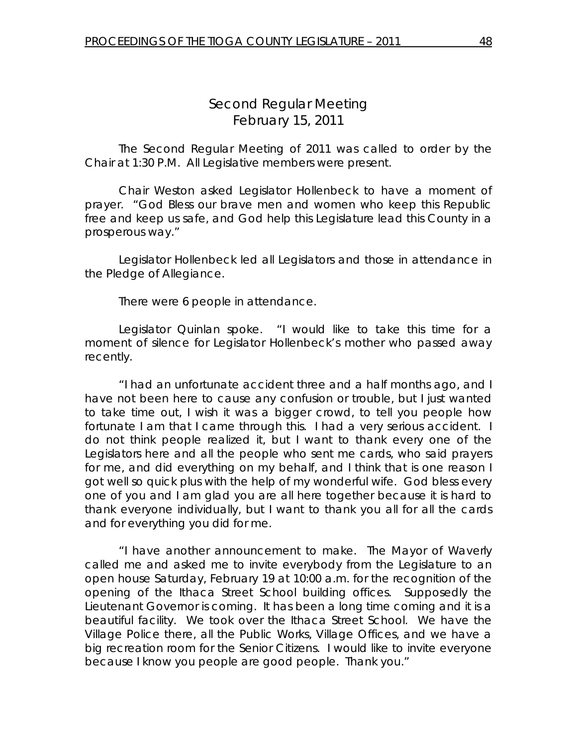# *Second Regular Meeting*  February 15, 2011

 The Second Regular Meeting of 2011 was called to order by the Chair at 1:30 P.M. All Legislative members were present.

Chair Weston asked Legislator Hollenbeck to have a moment of prayer. "God Bless our brave men and women who keep this Republic free and keep us safe, and God help this Legislature lead this County in a prosperous way."

 Legislator Hollenbeck led all Legislators and those in attendance in the Pledge of Allegiance.

There were 6 people in attendance.

 Legislator Quinlan spoke. "I would like to take this time for a moment of silence for Legislator Hollenbeck's mother who passed away recently.

 "I had an unfortunate accident three and a half months ago, and I have not been here to cause any confusion or trouble, but I just wanted to take time out, I wish it was a bigger crowd, to tell you people how fortunate I am that I came through this. I had a very serious accident. I do not think people realized it, but I want to thank every one of the Legislators here and all the people who sent me cards, who said prayers for me, and did everything on my behalf, and I think that is one reason I got well so quick plus with the help of my wonderful wife. God bless every one of you and I am glad you are all here together because it is hard to thank everyone individually, but I want to thank you all for all the cards and for everything you did for me.

 "I have another announcement to make. The Mayor of Waverly called me and asked me to invite everybody from the Legislature to an open house Saturday, February 19 at 10:00 a.m. for the recognition of the opening of the Ithaca Street School building offices. Supposedly the Lieutenant Governor is coming. It has been a long time coming and it is a beautiful facility. We took over the Ithaca Street School. We have the Village Police there, all the Public Works, Village Offices, and we have a big recreation room for the Senior Citizens. I would like to invite everyone because I know you people are good people. Thank you."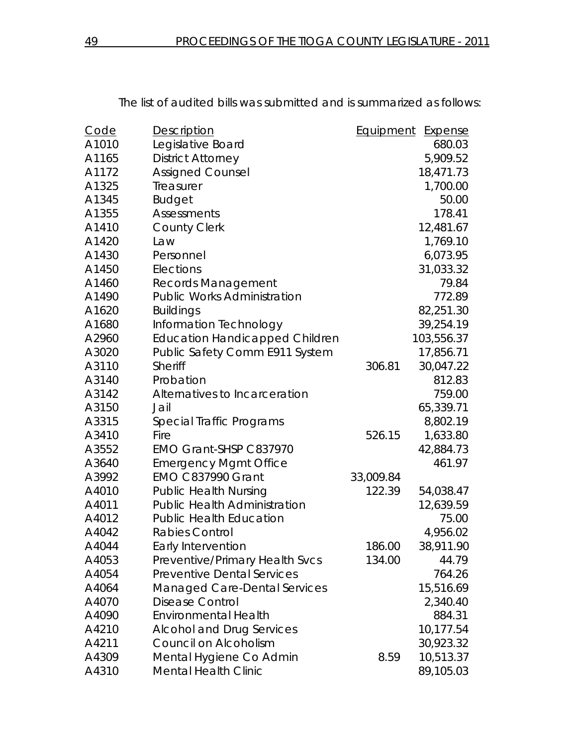| <b>Code</b> | <b>Description</b>                    | Equipment | Expense    |
|-------------|---------------------------------------|-----------|------------|
| A1010       | Legislative Board                     |           | 680.03     |
| A1165       | <b>District Attorney</b>              |           | 5,909.52   |
| A1172       | <b>Assigned Counsel</b>               |           | 18,471.73  |
| A1325       | Treasurer                             |           | 1,700.00   |
| A1345       | <b>Budget</b>                         |           | 50.00      |
| A1355       | Assessments                           |           | 178.41     |
| A1410       | <b>County Clerk</b>                   |           | 12,481.67  |
| A1420       | Law                                   |           | 1,769.10   |
| A1430       | Personnel                             |           | 6,073.95   |
| A1450       | Elections                             |           | 31,033.32  |
| A1460       | <b>Records Management</b>             |           | 79.84      |
| A1490       | <b>Public Works Administration</b>    |           | 772.89     |
| A1620       | <b>Buildings</b>                      |           | 82,251.30  |
| A1680       | Information Technology                |           | 39,254.19  |
| A2960       | <b>Education Handicapped Children</b> |           | 103,556.37 |
| A3020       | Public Safety Comm E911 System        |           | 17,856.71  |
| A3110       | Sheriff                               | 306.81    | 30,047.22  |
| A3140       | Probation                             |           | 812.83     |
| A3142       | Alternatives to Incarceration         |           | 759.00     |
| A3150       | Jail                                  |           | 65,339.71  |
| A3315       | Special Traffic Programs              |           | 8,802.19   |
| A3410       | Fire                                  | 526.15    | 1,633.80   |
| A3552       | EMO Grant-SHSP C837970                |           | 42,884.73  |
| A3640       | <b>Emergency Mgmt Office</b>          |           | 461.97     |
| A3992       | <b>EMO C837990 Grant</b>              | 33,009.84 |            |
| A4010       | <b>Public Health Nursing</b>          | 122.39    | 54,038.47  |
| A4011       | <b>Public Health Administration</b>   |           | 12,639.59  |
| A4012       | <b>Public Health Education</b>        |           | 75.00      |
| A4042       | <b>Rabies Control</b>                 |           | 4,956.02   |
| A4044       | Early Intervention                    | 186.00    | 38,911.90  |
| A4053       | Preventive/Primary Health Svcs        | 134.00    | 44.79      |
| A4054       | <b>Preventive Dental Services</b>     |           | 764.26     |
| A4064       | Managed Care-Dental Services          |           | 15,516.69  |
| A4070       | <b>Disease Control</b>                |           | 2,340.40   |
| A4090       | <b>Environmental Health</b>           |           | 884.31     |
| A4210       | <b>Alcohol and Drug Services</b>      |           | 10,177.54  |
| A4211       | Council on Alcoholism                 |           | 30,923.32  |
| A4309       | Mental Hygiene Co Admin               | 8.59      | 10,513.37  |
| A4310       | <b>Mental Health Clinic</b>           |           | 89,105.03  |

The list of audited bills was submitted and is summarized as follows: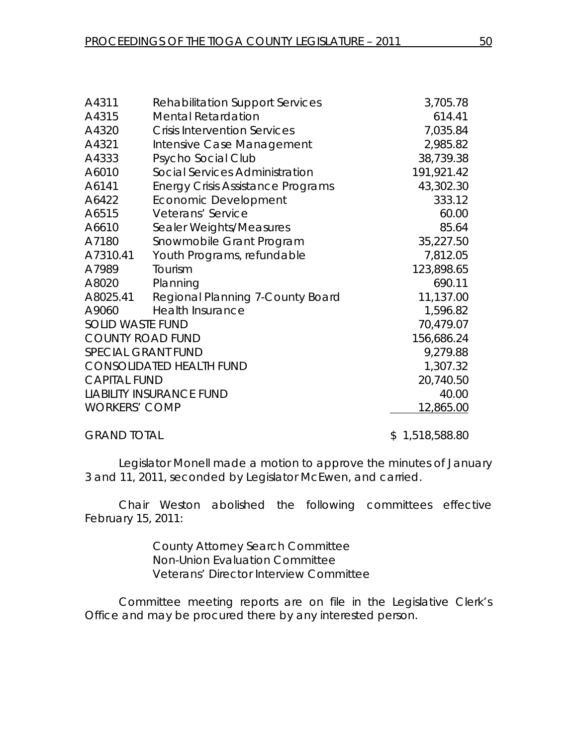| A4311                           | <b>Rehabilitation Support Services</b>   | 3,705.78   |
|---------------------------------|------------------------------------------|------------|
| A4315                           | <b>Mental Retardation</b>                | 614.41     |
| A4320                           | <b>Crisis Intervention Services</b>      | 7,035.84   |
| A4321                           | Intensive Case Management                | 2,985.82   |
| A4333                           | Psycho Social Club                       | 38,739.38  |
| A6010                           | <b>Social Services Administration</b>    | 191,921.42 |
| A6141                           | <b>Energy Crisis Assistance Programs</b> | 43,302.30  |
| A6422                           | Economic Development                     | 333.12     |
| A6515                           | Veterans' Service                        | 60.00      |
| A6610                           | Sealer Weights/Measures                  | 85.64      |
| A7180                           | Snowmobile Grant Program                 | 35,227.50  |
| A7310.41                        | Youth Programs, refundable               | 7,812.05   |
| A7989                           | Tourism                                  | 123,898.65 |
| A8020                           | Planning                                 | 690.11     |
| A8025.41                        | Regional Planning 7-County Board         | 11,137.00  |
| A9060                           | <b>Health Insurance</b>                  | 1,596.82   |
| <b>SOLID WASTE FUND</b>         |                                          | 70,479.07  |
| <b>COUNTY ROAD FUND</b>         | 156,686.24                               |            |
| SPECIAL GRANT FUND              | 9,279.88                                 |            |
| <b>CONSOLIDATED HEALTH FUND</b> | 1,307.32                                 |            |
| <b>CAPITAL FUND</b>             | 20,740.50                                |            |
| <b>LIABILITY INSURANCE FUND</b> |                                          | 40.00      |
| <b>WORKERS' COMP</b>            |                                          | 12,865.00  |
|                                 |                                          |            |

## GRAND TOTAL 6.1.518,588.80

Legislator Monell made a motion to approve the minutes of January 3 and 11, 2011, seconded by Legislator McEwen, and carried.

 Chair Weston abolished the following committees effective February 15, 2011:

> County Attorney Search Committee Non-Union Evaluation Committee Veterans' Director Interview Committee

Committee meeting reports are on file in the Legislative Clerk's Office and may be procured there by any interested person.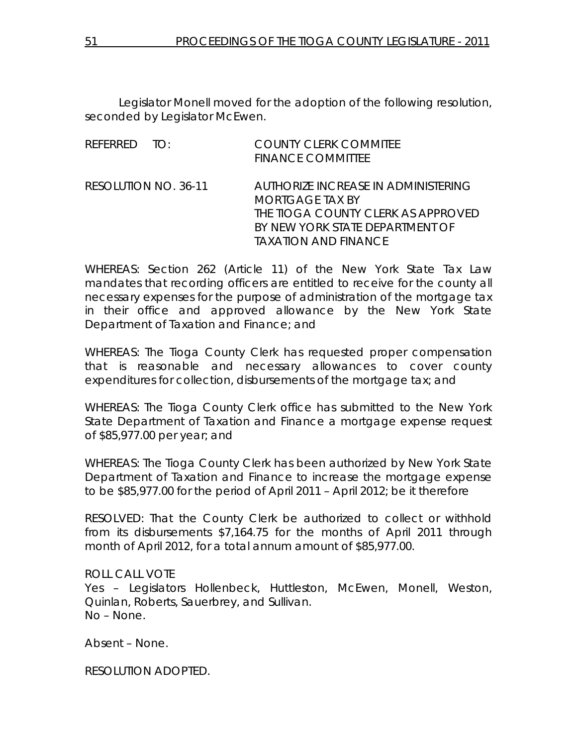Legislator Monell moved for the adoption of the following resolution, seconded by Legislator McEwen.

| REFERRED TO:         | <b>COUNTY CLERK COMMITEE</b><br><b>FINANCE COMMITTEE</b>                                                                                                              |
|----------------------|-----------------------------------------------------------------------------------------------------------------------------------------------------------------------|
| RESOLUTION NO. 36-11 | AUTHORIZE INCREASE IN ADMINISTERING<br><b>MORTGAGE TAX BY</b><br>THE TIOGA COUNTY CLERK AS APPROVED<br>BY NEW YORK STATE DEPARTMENT OF<br><i>IAXATION AND FINANCE</i> |

WHEREAS: Section 262 (Article 11) of the New York State Tax Law mandates that recording officers are entitled to receive for the county all necessary expenses for the purpose of administration of the mortgage tax in their office and approved allowance by the New York State Department of Taxation and Finance; and

WHEREAS: The Tioga County Clerk has requested proper compensation that is reasonable and necessary allowances to cover county expenditures for collection, disbursements of the mortgage tax; and

WHEREAS: The Tioga County Clerk office has submitted to the New York State Department of Taxation and Finance a mortgage expense request of \$85,977.00 per year; and

WHEREAS: The Tioga County Clerk has been authorized by New York State Department of Taxation and Finance to increase the mortgage expense to be \$85,977.00 for the period of April 2011 – April 2012; be it therefore

RESOLVED: That the County Clerk be authorized to collect or withhold from its disbursements \$7,164.75 for the months of April 2011 through month of April 2012, for a total annum amount of \$85,977.00.

## ROLL CALL VOTE

Yes – Legislators Hollenbeck, Huttleston, McEwen, Monell, Weston, Quinlan, Roberts, Sauerbrey, and Sullivan. No – None.

Absent – None.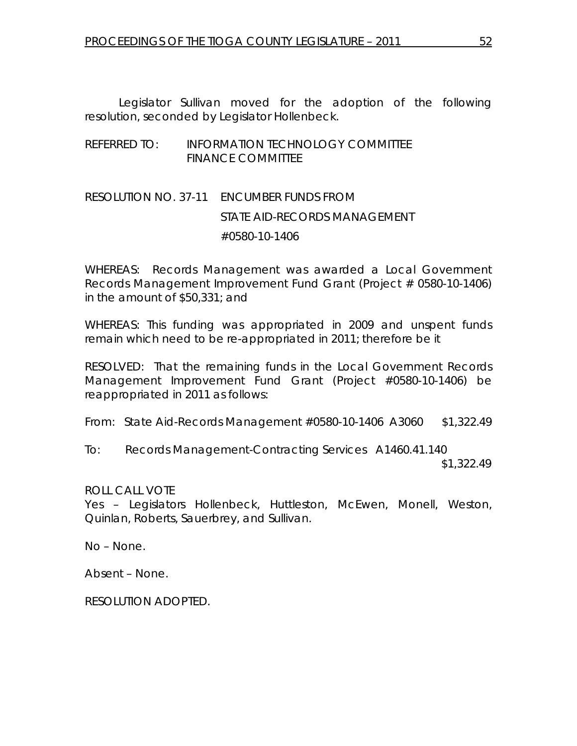Legislator Sullivan moved for the adoption of the following resolution, seconded by Legislator Hollenbeck.

## REFERRED TO: INFORMATION TECHNOLOGY COMMITTEE FINANCE COMMITTEE

# RESOLUTION NO. 37-11 *ENCUMBER FUNDS FROM STATE AID-RECORDS MANAGEMENT #0580-10-1406*

WHEREAS: Records Management was awarded a Local Government Records Management Improvement Fund Grant (Project # 0580-10-1406) in the amount of \$50,331; and

WHEREAS: This funding was appropriated in 2009 and unspent funds remain which need to be re-appropriated in 2011; therefore be it

RESOLVED: That the remaining funds in the Local Government Records Management Improvement Fund Grant (Project #0580-10-1406) be reappropriated in 2011 as follows:

From: State Aid-Records Management #0580-10-1406 A3060 \$1,322.49

To: Records Management-Contracting Services A1460.41.140 \$1,322.49

ROLL CALL VOTE

Yes – Legislators Hollenbeck, Huttleston, McEwen, Monell, Weston, Quinlan, Roberts, Sauerbrey, and Sullivan.

No – None.

Absent – None.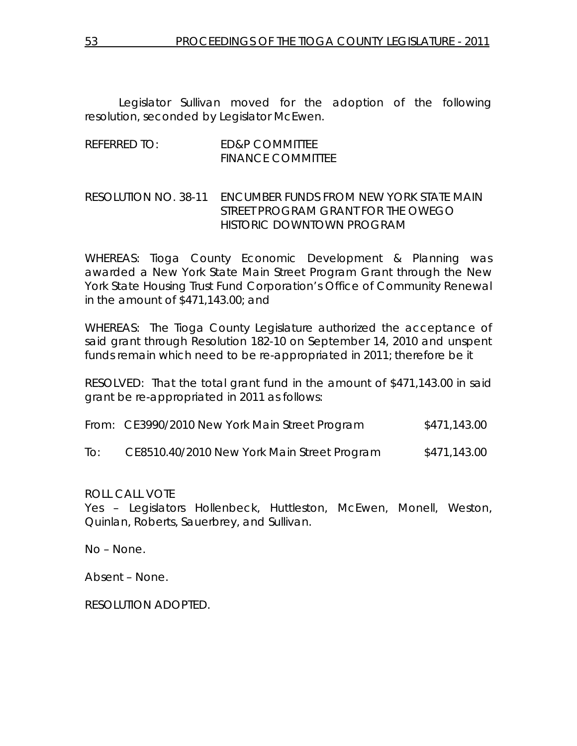Legislator Sullivan moved for the adoption of the following resolution, seconded by Legislator McEwen.

# REFERRED TO: ED&P COMMITTEE FINANCE COMMITTEE

# RESOLUTION NO. 38-11 *ENCUMBER FUNDS FROM NEW YORK STATE MAIN STREET PROGRAM GRANT FOR THE OWEGO HISTORIC DOWNTOWN PROGRAM*

WHEREAS: Tioga County Economic Development & Planning was awarded a New York State Main Street Program Grant through the New York State Housing Trust Fund Corporation's Office of Community Renewal in the amount of \$471,143.00; and

WHEREAS: The Tioga County Legislature authorized the acceptance of said grant through Resolution 182-10 on September 14, 2010 and unspent funds remain which need to be re-appropriated in 2011; therefore be it

RESOLVED: That the total grant fund in the amount of \$471,143.00 in said grant be re-appropriated in 2011 as follows:

|     | From: CE3990/2010 New York Main Street Program | \$471,143.00 |
|-----|------------------------------------------------|--------------|
| To: | CE8510.40/2010 New York Main Street Program    | \$471,143.00 |

ROLL CALL VOTE

Yes – Legislators Hollenbeck, Huttleston, McEwen, Monell, Weston, Quinlan, Roberts, Sauerbrey, and Sullivan.

No – None.

Absent – None.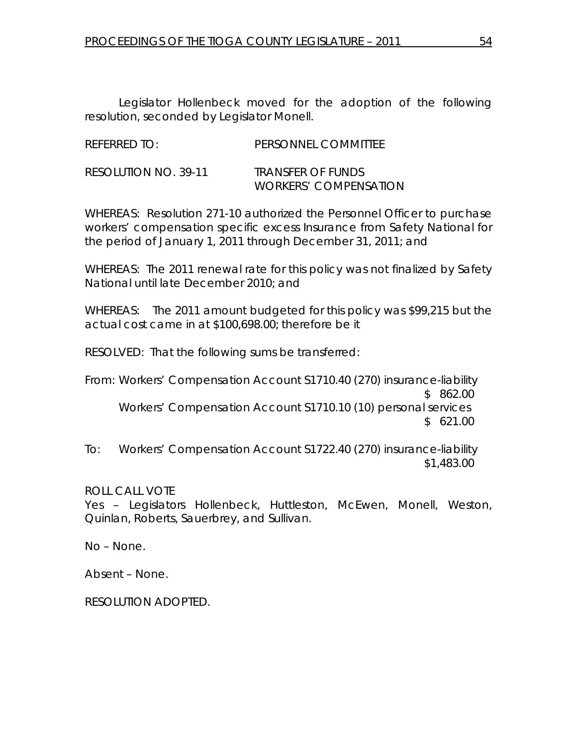Legislator Hollenbeck moved for the adoption of the following resolution, seconded by Legislator Monell.

| REFERRED TO:         | PERSONNEL COMMITTEE                                      |
|----------------------|----------------------------------------------------------|
| RESOLUTION NO. 39-11 | <i>TRANSFER OF FUNDS</i><br><i>WORKERS' COMPENSATION</i> |

WHEREAS: Resolution 271-10 authorized the Personnel Officer to purchase workers' compensation specific excess Insurance from Safety National for the period of January 1, 2011 through December 31, 2011; and

WHEREAS: The 2011 renewal rate for this policy was not finalized by Safety National until late December 2010; and

WHEREAS: The 2011 amount budgeted for this policy was \$99,215 but the actual cost came in at \$100,698.00; therefore be it

RESOLVED: That the following sums be transferred:

From: Workers' Compensation Account S1710.40 (270) insurance-liability \$ 862.00 Workers' Compensation Account S1710.10 (10) personal services  $$621.00$ 

To: Workers' Compensation Account S1722.40 (270) insurance-liability \$1,483.00

ROLL CALL VOTE

Yes – Legislators Hollenbeck, Huttleston, McEwen, Monell, Weston, Quinlan, Roberts, Sauerbrey, and Sullivan.

No – None.

Absent – None.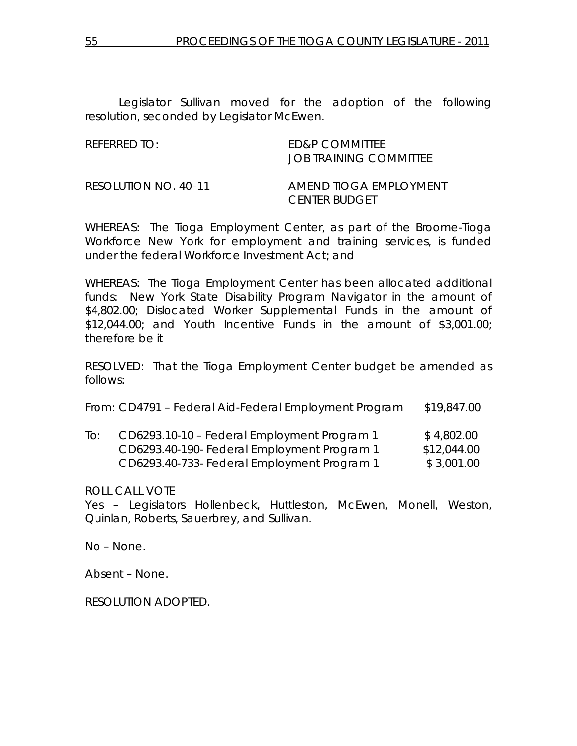Legislator Sullivan moved for the adoption of the following resolution, seconded by Legislator McEwen.

REFERRED TO: ED&P COMMITTEE JOB TRAINING COMMITTEE

RESOLUTION NO. 40–11 *AMEND TIOGA EMPLOYMENT CENTER BUDGET* 

WHEREAS: The Tioga Employment Center, as part of the Broome-Tioga Workforce New York for employment and training services, is funded under the federal Workforce Investment Act; and

WHEREAS: The Tioga Employment Center has been allocated additional funds: New York State Disability Program Navigator in the amount of \$4,802.00; Dislocated Worker Supplemental Funds in the amount of \$12,044.00; and Youth Incentive Funds in the amount of \$3,001.00; therefore be it

RESOLVED: That the Tioga Employment Center budget be amended as follows:

From: CD4791 – Federal Aid-Federal Employment Program \$19,847.00

| To: | CD6293.10-10 - Federal Employment Program 1 | \$4,802.00  |
|-----|---------------------------------------------|-------------|
|     | CD6293.40-190- Federal Employment Program 1 | \$12,044.00 |
|     | CD6293.40-733- Federal Employment Program 1 | \$3,001.00  |

ROLL CALL VOTE

Yes – Legislators Hollenbeck, Huttleston, McEwen, Monell, Weston, Quinlan, Roberts, Sauerbrey, and Sullivan.

No – None.

Absent – None.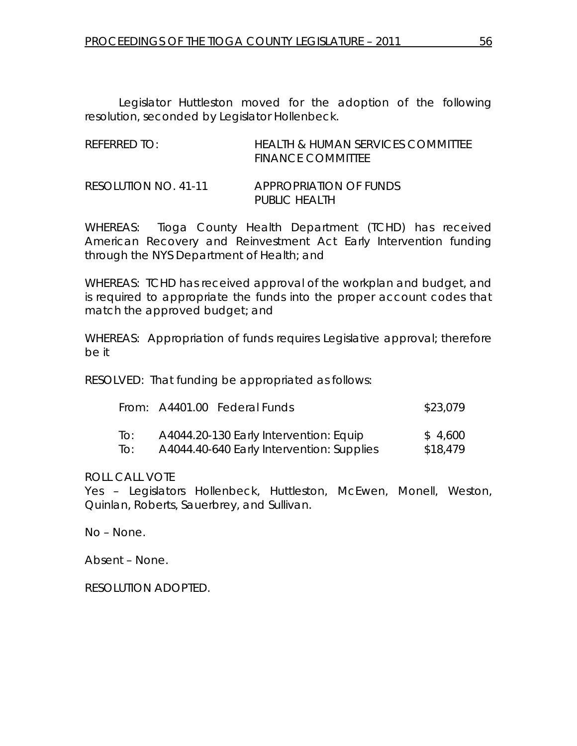Legislator Huttleston moved for the adoption of the following resolution, seconded by Legislator Hollenbeck.

| $R$ FFFRRFD TO:      | <b>HEALTH &amp; HUMAN SERVICES COMMITTEE</b><br><b>FINANCE COMMITTEE</b> |
|----------------------|--------------------------------------------------------------------------|
| RESOLUTION NO. 41-11 | APPROPRIATION OF FUNDS<br>PUBLIC HEALTH                                  |

WHEREAS: Tioga County Health Department (TCHD) has received American Recovery and Reinvestment Act Early Intervention funding through the NYS Department of Health; and

WHEREAS: TCHD has received approval of the workplan and budget, and is required to appropriate the funds into the proper account codes that match the approved budget; and

WHEREAS: Appropriation of funds requires Legislative approval; therefore be it

RESOLVED: That funding be appropriated as follows:

|     | From: A4401.00 Federal Funds |                                           | \$23,079 |
|-----|------------------------------|-------------------------------------------|----------|
| IO: |                              | A4044.20-130 Early Intervention: Equip    | \$4,600  |
| IO: |                              | A4044.40-640 Early Intervention: Supplies | \$18,479 |

ROLL CALL VOTE

Yes – Legislators Hollenbeck, Huttleston, McEwen, Monell, Weston, Quinlan, Roberts, Sauerbrey, and Sullivan.

No – None.

Absent – None.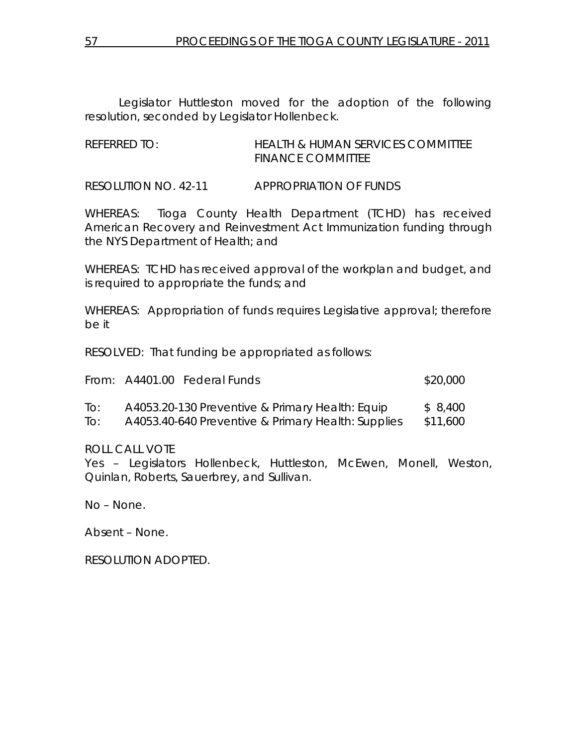Legislator Huttleston moved for the adoption of the following resolution, seconded by Legislator Hollenbeck.

| REFERRED TO: | HEALTH & HUMAN SERVICES COMMITTEE |
|--------------|-----------------------------------|
|              | <b>FINANCE COMMITTEE</b>          |

RESOLUTION NO. 42-11 *APPROPRIATION OF FUNDS* 

WHEREAS: Tioga County Health Department (TCHD) has received American Recovery and Reinvestment Act Immunization funding through the NYS Department of Health; and

WHEREAS: TCHD has received approval of the workplan and budget, and is required to appropriate the funds; and

WHEREAS: Appropriation of funds requires Legislative approval; therefore be it

RESOLVED: That funding be appropriated as follows:

|     | From: A4401.00 Federal Funds                       | \$20,000 |
|-----|----------------------------------------------------|----------|
| To: | A4053.20-130 Preventive & Primary Health: Equip    | \$ 8,400 |
| To: | A4053.40-640 Preventive & Primary Health: Supplies | \$11,600 |

ROLL CALL VOTE

Yes – Legislators Hollenbeck, Huttleston, McEwen, Monell, Weston, Quinlan, Roberts, Sauerbrey, and Sullivan.

No – None.

Absent – None.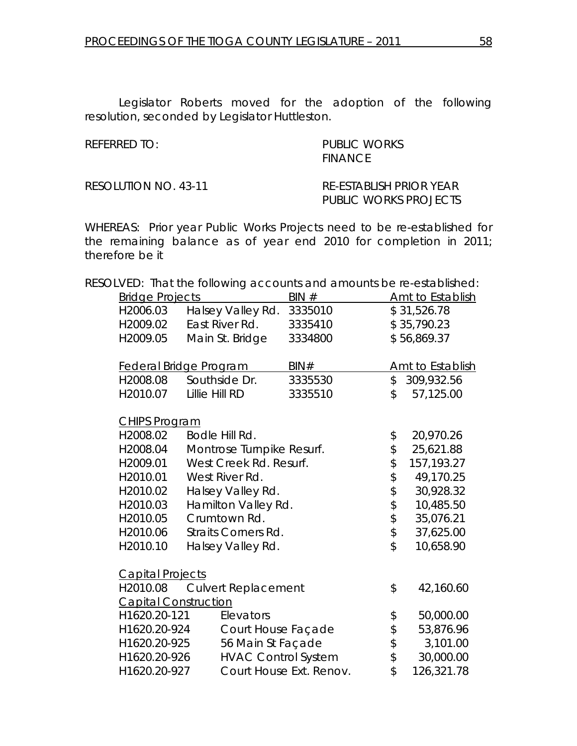Legislator Roberts moved for the adoption of the following resolution, seconded by Legislator Huttleston.

REFERRED TO: PUBLIC WORKS **FINANCE** 

RESOLUTION NO. 43-11 *RE-ESTABLISH PRIOR YEAR* 

 *PUBLIC WORKS PROJECTS* 

WHEREAS: Prior year Public Works Projects need to be re-established for the remaining balance as of year end 2010 for completion in 2011; therefore be it

RESOLVED: That the following accounts and amounts be re-established:

| <b>Bridge Projects</b>      |                               | BIN#                    |                            | <b>Amt to Establish</b> |
|-----------------------------|-------------------------------|-------------------------|----------------------------|-------------------------|
| H2006.03                    | Halsey Valley Rd.             | 3335010                 |                            | \$31,526.78             |
| H2009.02                    | East River Rd.                | 3335410                 |                            | \$35,790.23             |
| H2009.05                    | Main St. Bridge               | 3334800                 |                            | \$56,869.37             |
|                             | <b>Federal Bridge Program</b> | BIN#                    |                            | <b>Amt to Establish</b> |
| H2008.08                    | Southside Dr.                 | 3335530                 | $\mathcal{L}$              | 309,932.56              |
| H2010.07                    | Lillie Hill RD                | 3335510                 | \$                         | 57,125.00               |
| <b>CHIPS Program</b>        |                               |                         |                            |                         |
| H2008.02                    | Bodle Hill Rd.                |                         | \$                         | 20,970.26               |
| H2008.04                    | Montrose Turnpike Resurf.     |                         | $\updownarrow$             | 25,621.88               |
| H2009.01                    | West Creek Rd. Resurf.        |                         | \$                         | 157, 193. 27            |
| H2010.01                    | West River Rd.                |                         |                            | 49,170.25               |
| H2010.02                    | Halsey Valley Rd.             |                         | \$\$                       | 30,928.32               |
| H2010.03                    | Hamilton Valley Rd.           |                         |                            | 10,485.50               |
| H2010.05                    | Crumtown Rd.                  |                         | $\updownarrow$             | 35,076.21               |
| H2010.06                    | <b>Straits Corners Rd.</b>    |                         | $\boldsymbol{\mathsf{\$}}$ | 37,625.00               |
| H2010.10                    | Halsey Valley Rd.             |                         | $\hat{z}$                  | 10,658.90               |
| <b>Capital Projects</b>     |                               |                         |                            |                         |
| H2010.08                    | <b>Culvert Replacement</b>    |                         | \$                         | 42,160.60               |
| <b>Capital Construction</b> |                               |                         |                            |                         |
| H1620.20-121                | Elevators                     |                         | \$                         | 50,000.00               |
| H1620.20-924                | Court House Façade            |                         | $\frac{1}{2}$              | 53,876.96               |
| H1620.20-925                | 56 Main St Façade             |                         | $\, \, \varphi$            | 3,101.00                |
| H1620.20-926                | <b>HVAC Control System</b>    |                         | $\updownarrow$             | 30,000.00               |
| H1620.20-927                |                               | Court House Ext. Renov. | $\hat{z}$                  | 126,321.78              |
|                             |                               |                         |                            |                         |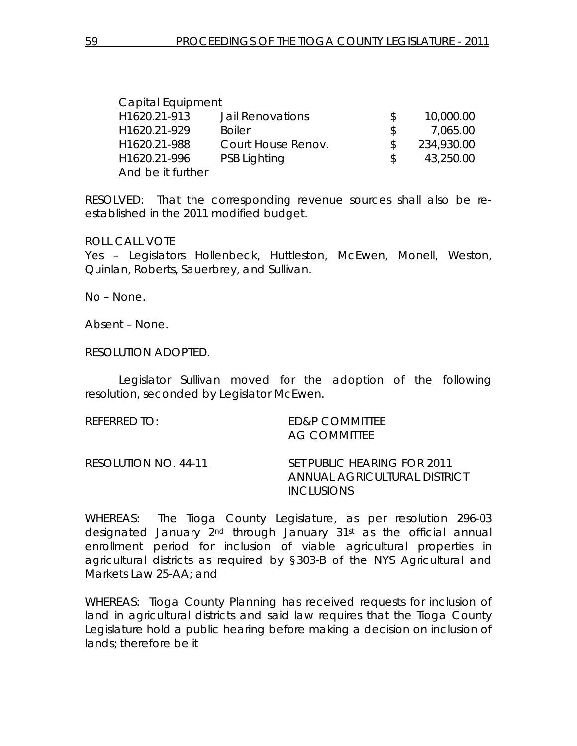| <b>Capital Equipment</b> |                     |     |            |
|--------------------------|---------------------|-----|------------|
| H1620.21-913             | Jail Renovations    |     | 10,000.00  |
| H1620.21-929             | <b>Boiler</b>       | \$. | 7,065.00   |
| H <sub>1620.21-988</sub> | Court House Renov.  |     | 234,930.00 |
| H1620.21-996             | <b>PSB Lighting</b> |     | 43,250.00  |
| And be it further        |                     |     |            |

RESOLVED: That the corresponding revenue sources shall also be reestablished in the 2011 modified budget.

ROLL CALL VOTE

Yes – Legislators Hollenbeck, Huttleston, McEwen, Monell, Weston, Quinlan, Roberts, Sauerbrey, and Sullivan.

No – None.

Absent – None.

RESOLUTION ADOPTED.

 Legislator Sullivan moved for the adoption of the following resolution, seconded by Legislator McEwen.

REFERRED TO: ED&P COMMITTEE AG COMMITTEE

RESOLUTION NO. 44-11 *SET PUBLIC HEARING FOR 2011 ANNUAL AGRICULTURAL DISTRICT INCLUSIONS* 

WHEREAS: The Tioga County Legislature, as per resolution 296-03 designated January 2nd through January 31st as the official annual enrollment period for inclusion of viable agricultural properties in agricultural districts as required by §303-B of the NYS Agricultural and Markets Law 25-AA; and

WHEREAS: Tioga County Planning has received requests for inclusion of land in agricultural districts and said law requires that the Tioga County Legislature hold a public hearing before making a decision on inclusion of lands; therefore be it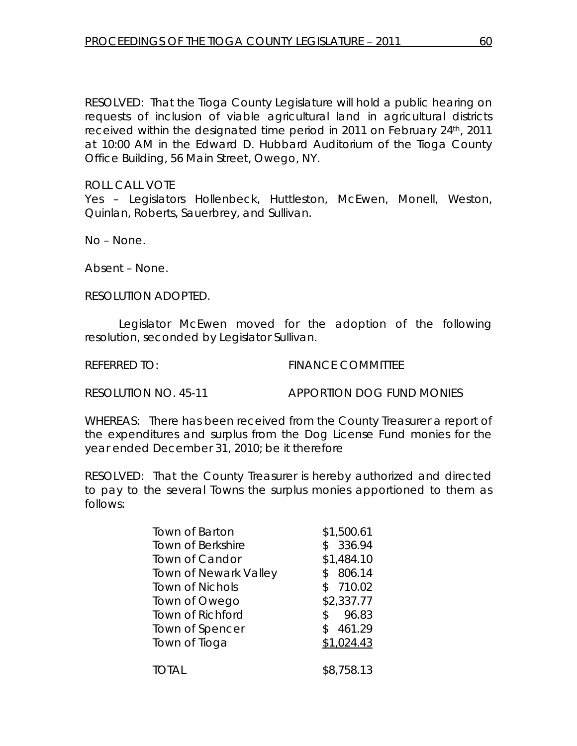RESOLVED: That the Tioga County Legislature will hold a public hearing on requests of inclusion of viable agricultural land in agricultural districts received within the designated time period in 2011 on February 24th, 2011 at 10:00 AM in the Edward D. Hubbard Auditorium of the Tioga County Office Building, 56 Main Street, Owego, NY.

ROLL CALL VOTE

Yes – Legislators Hollenbeck, Huttleston, McEwen, Monell, Weston, Quinlan, Roberts, Sauerbrey, and Sullivan.

No – None.

Absent – None.

RESOLUTION ADOPTED.

 Legislator McEwen moved for the adoption of the following resolution, seconded by Legislator Sullivan.

REFERRED TO: FINANCE COMMITTEE

RESOLUTION NO. 45-11 *APPORTION DOG FUND MONIES* 

WHEREAS: There has been received from the County Treasurer a report of the expenditures and surplus from the Dog License Fund monies for the year ended December 31, 2010; be it therefore

RESOLVED: That the County Treasurer is hereby authorized and directed to pay to the several Towns the surplus monies apportioned to them as follows:

| Town of Barton               | \$1,500.61   |
|------------------------------|--------------|
| <b>Town of Berkshire</b>     | 336.94       |
| Town of Candor               | \$1,484.10   |
| <b>Town of Newark Valley</b> | 806.14       |
| <b>Town of Nichols</b>       | 710.02       |
| Town of Owego                | \$2,337.77   |
| Town of Richford             | 96.83<br>\$. |
| Town of Spencer              | 461.29       |
| Town of Tioga                | \$1,024.43   |
|                              |              |
| total                        | \$8,758.13   |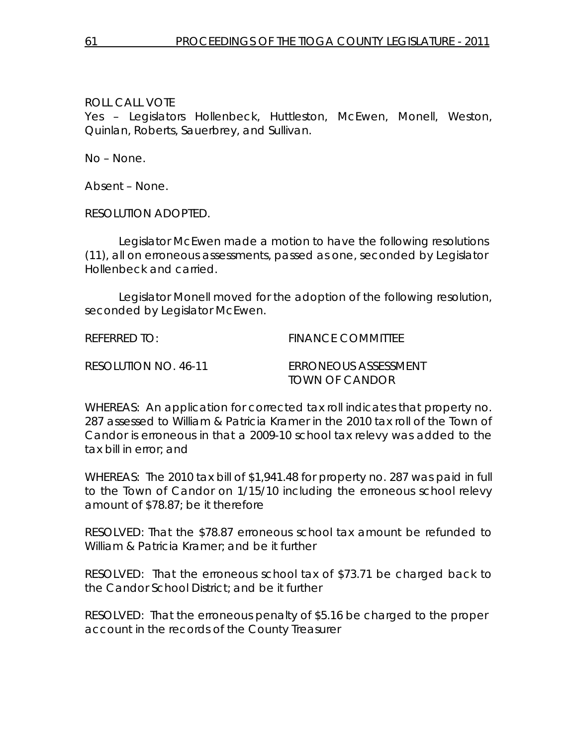Yes – Legislators Hollenbeck, Huttleston, McEwen, Monell, Weston, Quinlan, Roberts, Sauerbrey, and Sullivan.

No – None.

Absent – None.

RESOLUTION ADOPTED.

 Legislator McEwen made a motion to have the following resolutions (11), all on erroneous assessments, passed as one, seconded by Legislator Hollenbeck and carried.

 Legislator Monell moved for the adoption of the following resolution, seconded by Legislator McEwen.

REFERRED TO: FINANCE COMMITTEE

RESOLUTION NO. 46-11 *ERRONEOUS ASSESSMENT TOWN OF CANDOR* 

WHEREAS: An application for corrected tax roll indicates that property no. 287 assessed to William & Patricia Kramer in the 2010 tax roll of the Town of Candor is erroneous in that a 2009-10 school tax relevy was added to the tax bill in error; and

WHEREAS: The 2010 tax bill of \$1,941.48 for property no. 287 was paid in full to the Town of Candor on 1/15/10 including the erroneous school relevy amount of \$78.87; be it therefore

RESOLVED: That the \$78.87 erroneous school tax amount be refunded to William & Patricia Kramer; and be it further

RESOLVED: That the erroneous school tax of \$73.71 be charged back to the Candor School District; and be it further

RESOLVED: That the erroneous penalty of \$5.16 be charged to the proper account in the records of the County Treasurer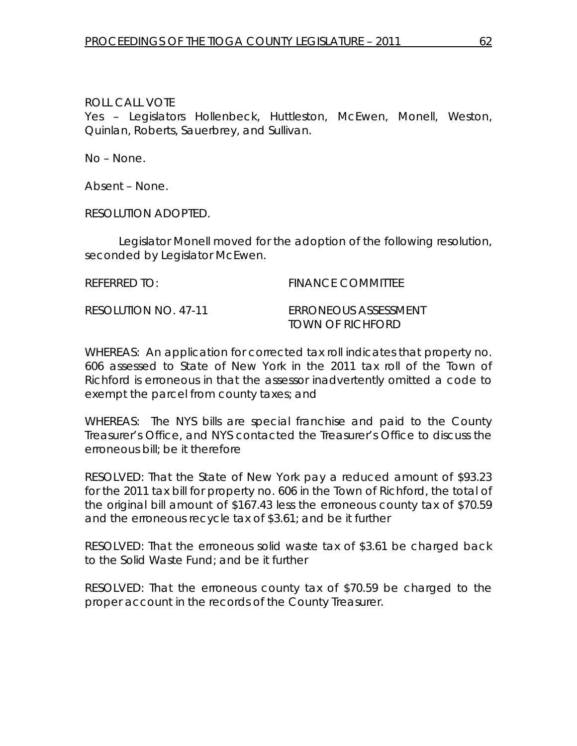Yes – Legislators Hollenbeck, Huttleston, McEwen, Monell, Weston, Quinlan, Roberts, Sauerbrey, and Sullivan.

No – None.

Absent – None.

RESOLUTION ADOPTED.

 Legislator Monell moved for the adoption of the following resolution, seconded by Legislator McEwen.

REFERRED TO: FINANCE COMMITTEE

RESOLUTION NO. 47-11 *ERRONEOUS ASSESSMENT TOWN OF RICHFORD* 

WHEREAS: An application for corrected tax roll indicates that property no. 606 assessed to State of New York in the 2011 tax roll of the Town of Richford is erroneous in that the assessor inadvertently omitted a code to exempt the parcel from county taxes; and

WHEREAS: The NYS bills are special franchise and paid to the County Treasurer's Office, and NYS contacted the Treasurer's Office to discuss the erroneous bill; be it therefore

RESOLVED: That the State of New York pay a reduced amount of \$93.23 for the 2011 tax bill for property no. 606 in the Town of Richford, the total of the original bill amount of \$167.43 less the erroneous county tax of \$70.59 and the erroneous recycle tax of \$3.61; and be it further

RESOLVED: That the erroneous solid waste tax of \$3.61 be charged back to the Solid Waste Fund; and be it further

RESOLVED: That the erroneous county tax of \$70.59 be charged to the proper account in the records of the County Treasurer.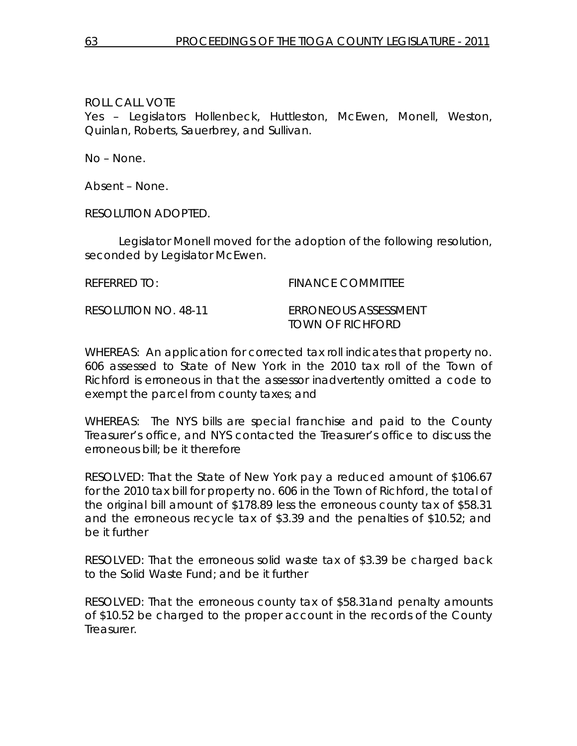Yes – Legislators Hollenbeck, Huttleston, McEwen, Monell, Weston, Quinlan, Roberts, Sauerbrey, and Sullivan.

No – None.

Absent – None.

RESOLUTION ADOPTED.

 Legislator Monell moved for the adoption of the following resolution, seconded by Legislator McEwen.

REFERRED TO: FINANCE COMMITTEE

RESOLUTION NO. 48-11 *ERRONEOUS ASSESSMENT TOWN OF RICHFORD* 

WHEREAS: An application for corrected tax roll indicates that property no. 606 assessed to State of New York in the 2010 tax roll of the Town of Richford is erroneous in that the assessor inadvertently omitted a code to exempt the parcel from county taxes; and

WHEREAS: The NYS bills are special franchise and paid to the County Treasurer's office, and NYS contacted the Treasurer's office to discuss the erroneous bill; be it therefore

RESOLVED: That the State of New York pay a reduced amount of \$106.67 for the 2010 tax bill for property no. 606 in the Town of Richford, the total of the original bill amount of \$178.89 less the erroneous county tax of \$58.31 and the erroneous recycle tax of \$3.39 and the penalties of \$10.52; and be it further

RESOLVED: That the erroneous solid waste tax of \$3.39 be charged back to the Solid Waste Fund; and be it further

RESOLVED: That the erroneous county tax of \$58.31and penalty amounts of \$10.52 be charged to the proper account in the records of the County Treasurer.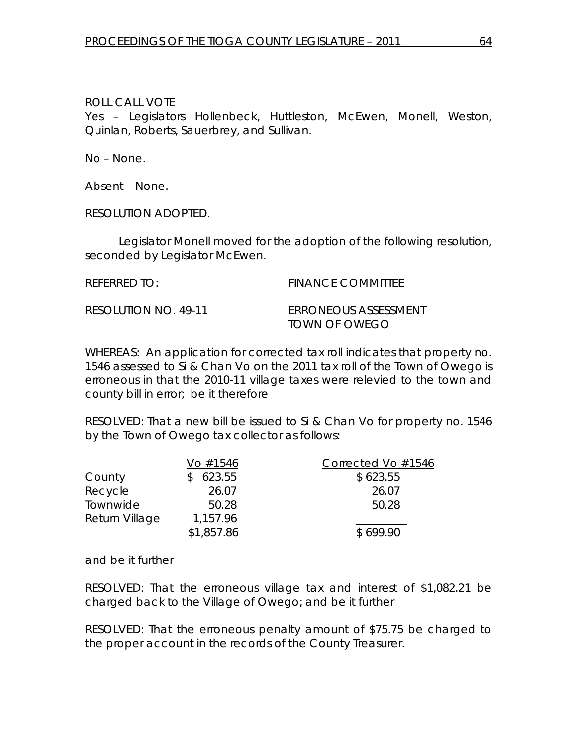Yes – Legislators Hollenbeck, Huttleston, McEwen, Monell, Weston, Quinlan, Roberts, Sauerbrey, and Sullivan.

No – None.

Absent – None.

RESOLUTION ADOPTED.

 Legislator Monell moved for the adoption of the following resolution, seconded by Legislator McEwen.

REFERRED TO: FINANCE COMMITTEE

RESOLUTION NO. 49-11 *ERRONEOUS ASSESSMENT TOWN OF OWEGO* 

WHEREAS: An application for corrected tax roll indicates that property no. 1546 assessed to Si & Chan Vo on the 2011 tax roll of the Town of Owego is erroneous in that the 2010-11 village taxes were relevied to the town and county bill in error; be it therefore

RESOLVED: That a new bill be issued to Si & Chan Vo for property no. 1546 by the Town of Owego tax collector as follows:

| Vo #1546   | Corrected Vo #1546 |
|------------|--------------------|
| 623.55     | \$623.55           |
| 26.07      | 26.07              |
| 50.28      | 50.28              |
| 1,157.96   |                    |
| \$1,857.86 | \$699.90           |
|            |                    |

and be it further

RESOLVED: That the erroneous village tax and interest of \$1,082.21 be charged back to the Village of Owego; and be it further

RESOLVED: That the erroneous penalty amount of \$75.75 be charged to the proper account in the records of the County Treasurer.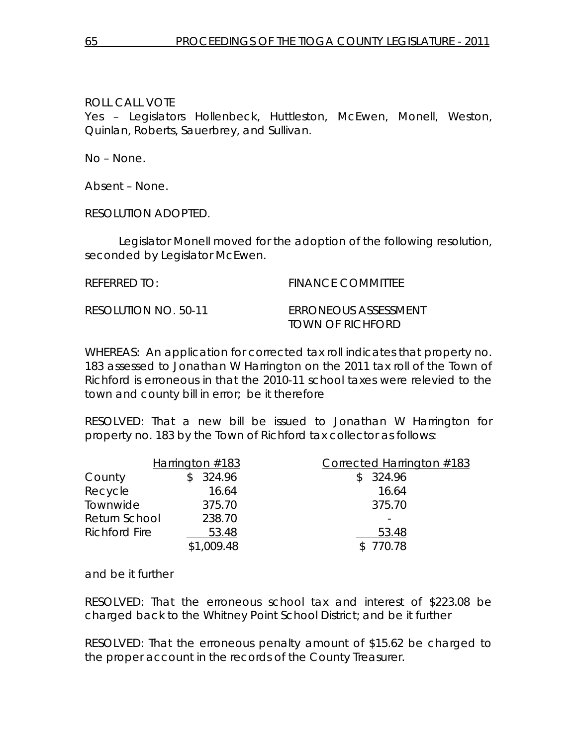Yes – Legislators Hollenbeck, Huttleston, McEwen, Monell, Weston, Quinlan, Roberts, Sauerbrey, and Sullivan.

No – None.

Absent – None.

RESOLUTION ADOPTED.

 Legislator Monell moved for the adoption of the following resolution, seconded by Legislator McEwen.

REFERRED TO: FINANCE COMMITTEE

RESOLUTION NO. 50-11 *ERRONEOUS ASSESSMENT TOWN OF RICHFORD* 

WHEREAS: An application for corrected tax roll indicates that property no. 183 assessed to Jonathan W Harrington on the 2011 tax roll of the Town of Richford is erroneous in that the 2010-11 school taxes were relevied to the town and county bill in error; be it therefore

RESOLVED: That a new bill be issued to Jonathan W Harrington for property no. 183 by the Town of Richford tax collector as follows:

|                      | Harrington $#183$ | Corrected Harrington #183 |
|----------------------|-------------------|---------------------------|
| County               | 324.96            | \$324.96                  |
| Recycle              | 16.64             | 16.64                     |
| Townwide             | 375.70            | 375.70                    |
| Return School        | 238.70            |                           |
| <b>Richford Fire</b> | 53.48             | 53.48                     |
|                      | \$1,009.48        | \$770.78                  |

and be it further

RESOLVED: That the erroneous school tax and interest of \$223.08 be charged back to the Whitney Point School District; and be it further

RESOLVED: That the erroneous penalty amount of \$15.62 be charged to the proper account in the records of the County Treasurer.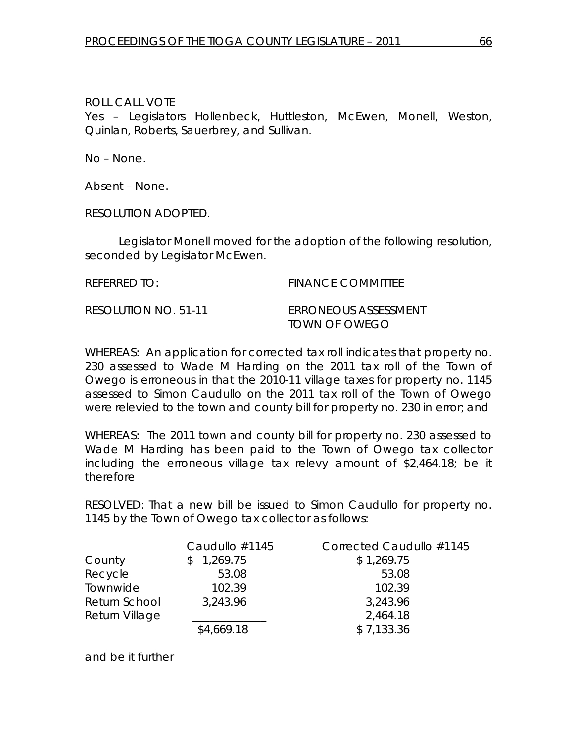Yes – Legislators Hollenbeck, Huttleston, McEwen, Monell, Weston, Quinlan, Roberts, Sauerbrey, and Sullivan.

No – None.

Absent – None.

RESOLUTION ADOPTED.

 Legislator Monell moved for the adoption of the following resolution, seconded by Legislator McEwen.

REFERRED TO: The Second Second Second Second Second Second Second Second Second Second Second Second Second Se

RESOLUTION NO. 51-11 *ERRONEOUS ASSESSMENT TOWN OF OWEGO* 

WHEREAS: An application for corrected tax roll indicates that property no. 230 assessed to Wade M Harding on the 2011 tax roll of the Town of Owego is erroneous in that the 2010-11 village taxes for property no. 1145 assessed to Simon Caudullo on the 2011 tax roll of the Town of Owego were relevied to the town and county bill for property no. 230 in error; and

WHEREAS: The 2011 town and county bill for property no. 230 assessed to Wade M Harding has been paid to the Town of Owego tax collector including the erroneous village tax relevy amount of \$2,464.18; be it therefore

RESOLVED: That a new bill be issued to Simon Caudullo for property no. 1145 by the Town of Owego tax collector as follows:

|                | Caudullo #1145 | Corrected Caudullo #1145 |
|----------------|----------------|--------------------------|
| County         | 1,269.75<br>S. | \$1,269.75               |
| Recycle        | 53.08          | 53.08                    |
| Townwide       | 102.39         | 102.39                   |
| Return School  | 3,243.96       | 3,243.96                 |
| Return Village |                | 2,464.18                 |
|                | \$4,669.18     | \$7,133.36               |

and be it further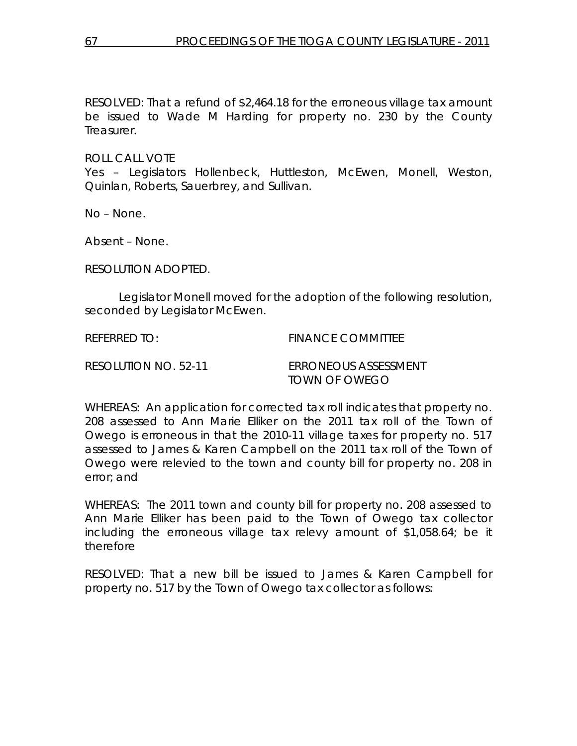RESOLVED: That a refund of \$2,464.18 for the erroneous village tax amount be issued to Wade M Harding for property no. 230 by the County Treasurer.

ROLL CALL VOTE

Yes – Legislators Hollenbeck, Huttleston, McEwen, Monell, Weston, Quinlan, Roberts, Sauerbrey, and Sullivan.

No – None.

Absent – None.

RESOLUTION ADOPTED.

 Legislator Monell moved for the adoption of the following resolution, seconded by Legislator McEwen.

REFERRED TO: FINANCE COMMITTEE

RESOLUTION NO. 52-11 *ERRONEOUS ASSESSMENT TOWN OF OWEGO* 

WHEREAS: An application for corrected tax roll indicates that property no. 208 assessed to Ann Marie Elliker on the 2011 tax roll of the Town of Owego is erroneous in that the 2010-11 village taxes for property no. 517 assessed to James & Karen Campbell on the 2011 tax roll of the Town of Owego were relevied to the town and county bill for property no. 208 in error; and

WHEREAS: The 2011 town and county bill for property no. 208 assessed to Ann Marie Elliker has been paid to the Town of Owego tax collector including the erroneous village tax relevy amount of \$1,058.64; be it therefore

RESOLVED: That a new bill be issued to James & Karen Campbell for property no. 517 by the Town of Owego tax collector as follows: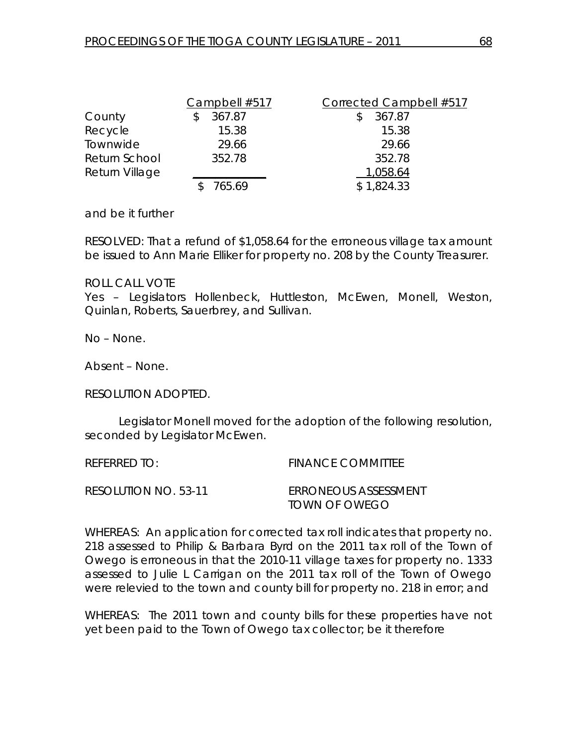|                | Campbell #517 | Corrected Campbell #517 |
|----------------|---------------|-------------------------|
| County         | 367.87        | 367.87                  |
| Recycle        | 15.38         | 15.38                   |
| Townwide       | 29.66         | 29.66                   |
| Return School  | 352.78        | 352.78                  |
| Return Village |               | 1,058.64                |
|                | 765.69        | \$1,824.33              |

and be it further

RESOLVED: That a refund of \$1,058.64 for the erroneous village tax amount be issued to Ann Marie Elliker for property no. 208 by the County Treasurer.

#### ROLL CALL VOTE

Yes – Legislators Hollenbeck, Huttleston, McEwen, Monell, Weston, Quinlan, Roberts, Sauerbrey, and Sullivan.

No – None.

Absent – None.

RESOLUTION ADOPTED.

 Legislator Monell moved for the adoption of the following resolution, seconded by Legislator McEwen.

REFERRED TO: FINANCE COMMITTEE

RESOLUTION NO. 53-11 *ERRONEOUS ASSESSMENT TOWN OF OWEGO* 

WHEREAS: An application for corrected tax roll indicates that property no. 218 assessed to Philip & Barbara Byrd on the 2011 tax roll of the Town of Owego is erroneous in that the 2010-11 village taxes for property no. 1333 assessed to Julie L Carrigan on the 2011 tax roll of the Town of Owego were relevied to the town and county bill for property no. 218 in error; and

WHEREAS: The 2011 town and county bills for these properties have not yet been paid to the Town of Owego tax collector; be it therefore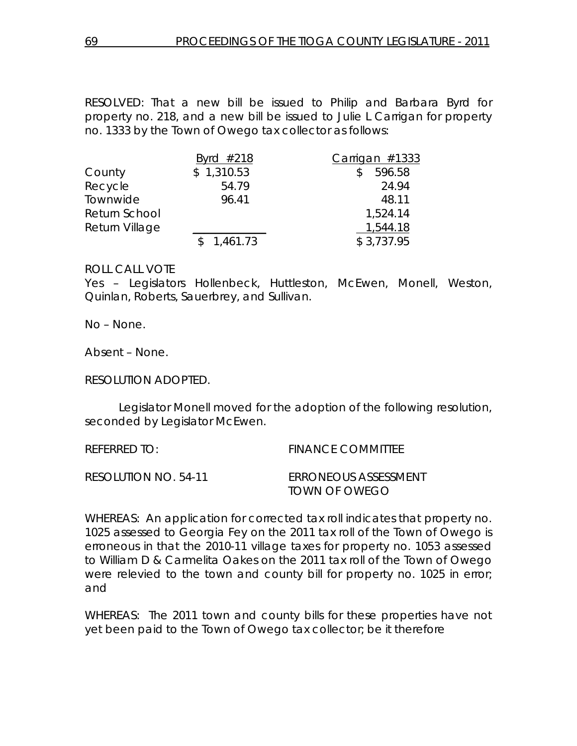RESOLVED: That a new bill be issued to Philip and Barbara Byrd for property no. 218, and a new bill be issued to Julie L Carrigan for property no. 1333 by the Town of Owego tax collector as follows:

|                | Byrd $#218$ | $Carrigan$ #1333 |
|----------------|-------------|------------------|
| County         | \$1,310.53  | 596.58<br>S.     |
| Recycle        | 54.79       | 24.94            |
| Townwide       | 96.41       | 48.11            |
| Return School  |             | 1,524.14         |
| Return Village |             | 1,544.18         |
|                | \$1,461.73  | \$3,737.95       |

#### ROLL CALL VOTE

Yes – Legislators Hollenbeck, Huttleston, McEwen, Monell, Weston, Quinlan, Roberts, Sauerbrey, and Sullivan.

No – None.

Absent – None.

RESOLUTION ADOPTED.

 Legislator Monell moved for the adoption of the following resolution, seconded by Legislator McEwen.

| REFERRED TO:         | <b>FINANCE COMMITTEE</b>                            |
|----------------------|-----------------------------------------------------|
| RESOLUTION NO. 54-11 | <i>ERRONEOUS ASSESSMENT</i><br><i>TOWN OF OWEGO</i> |

WHEREAS: An application for corrected tax roll indicates that property no. 1025 assessed to Georgia Fey on the 2011 tax roll of the Town of Owego is erroneous in that the 2010-11 village taxes for property no. 1053 assessed to William D & Carmelita Oakes on the 2011 tax roll of the Town of Owego were relevied to the town and county bill for property no. 1025 in error; and

WHEREAS: The 2011 town and county bills for these properties have not yet been paid to the Town of Owego tax collector; be it therefore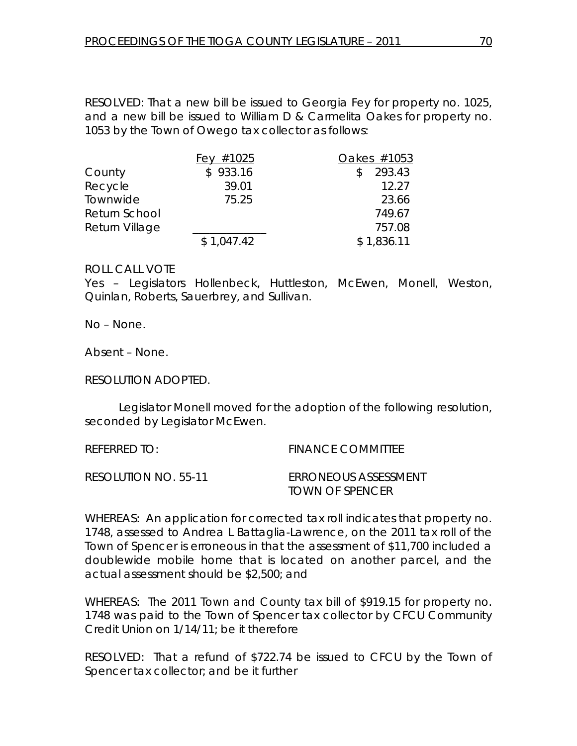RESOLVED: That a new bill be issued to Georgia Fey for property no. 1025, and a new bill be issued to William D & Carmelita Oakes for property no. 1053 by the Town of Owego tax collector as follows:

|                | Fey $#1025$ | Oakes #1053   |
|----------------|-------------|---------------|
| County         | \$933.16    | 293.43<br>\$. |
| Recycle        | 39.01       | 12.27         |
| Townwide       | 75.25       | 23.66         |
| Return School  |             | 749.67        |
| Return Village |             | 757.08        |
|                | \$1,047.42  | \$1,836.11    |

#### ROLL CALL VOTE

Yes – Legislators Hollenbeck, Huttleston, McEwen, Monell, Weston, Quinlan, Roberts, Sauerbrey, and Sullivan.

No – None.

Absent – None.

RESOLUTION ADOPTED.

 Legislator Monell moved for the adoption of the following resolution, seconded by Legislator McEwen.

| REFERRED TO:         | <b>FINANCE COMMITTEE</b>                              |
|----------------------|-------------------------------------------------------|
| RESOLUTION NO. 55-11 | <i>ERRONEOUS ASSESSMENT</i><br><i>TOWN OF SPENCER</i> |

WHEREAS: An application for corrected tax roll indicates that property no. 1748, assessed to Andrea L Battaglia-Lawrence, on the 2011 tax roll of the Town of Spencer is erroneous in that the assessment of \$11,700 included a doublewide mobile home that is located on another parcel, and the actual assessment should be \$2,500; and

WHEREAS: The 2011 Town and County tax bill of \$919.15 for property no. 1748 was paid to the Town of Spencer tax collector by CFCU Community Credit Union on 1/14/11; be it therefore

RESOLVED: That a refund of \$722.74 be issued to CFCU by the Town of Spencer tax collector; and be it further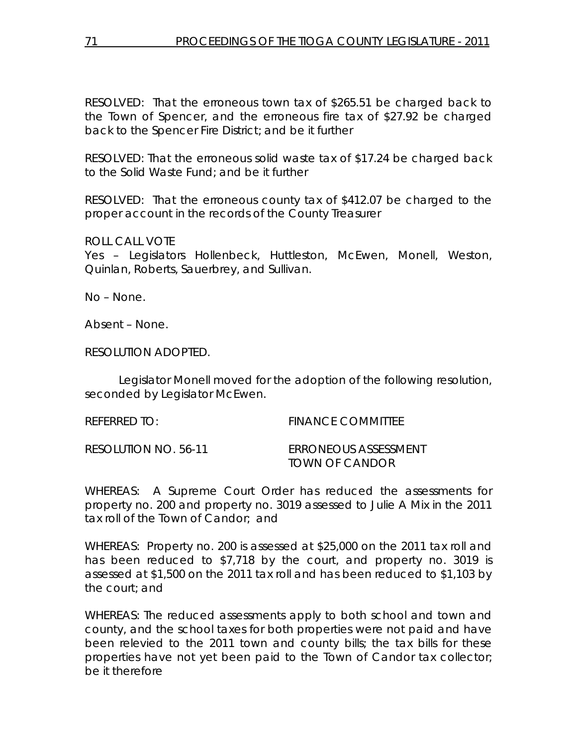RESOLVED: That the erroneous town tax of \$265.51 be charged back to the Town of Spencer, and the erroneous fire tax of \$27.92 be charged back to the Spencer Fire District; and be it further

RESOLVED: That the erroneous solid waste tax of \$17.24 be charged back to the Solid Waste Fund; and be it further

RESOLVED: That the erroneous county tax of \$412.07 be charged to the proper account in the records of the County Treasurer

ROLL CALL VOTE

Yes – Legislators Hollenbeck, Huttleston, McEwen, Monell, Weston, Quinlan, Roberts, Sauerbrey, and Sullivan.

No – None.

Absent – None.

RESOLUTION ADOPTED.

 Legislator Monell moved for the adoption of the following resolution, seconded by Legislator McEwen.

REFERRED TO: THE REFERRED TO: THE REFERRED TO: RESOLUTION NO. 56-11 *ERRONEOUS ASSESSMENT TOWN OF CANDOR* 

WHEREAS: A Supreme Court Order has reduced the assessments for property no. 200 and property no. 3019 assessed to Julie A Mix in the 2011 tax roll of the Town of Candor; and

WHEREAS: Property no. 200 is assessed at \$25,000 on the 2011 tax roll and has been reduced to \$7,718 by the court, and property no. 3019 is assessed at \$1,500 on the 2011 tax roll and has been reduced to \$1,103 by the court; and

WHEREAS: The reduced assessments apply to both school and town and county, and the school taxes for both properties were not paid and have been relevied to the 2011 town and county bills; the tax bills for these properties have not yet been paid to the Town of Candor tax collector; be it therefore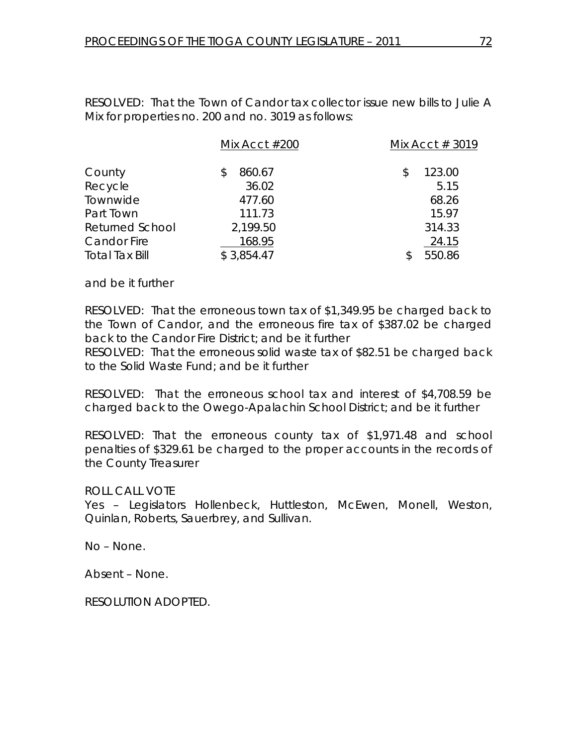RESOLVED: That the Town of Candor tax collector issue new bills to Julie A Mix for properties no. 200 and no. 3019 as follows:

|                        | Mix Acct $#200$ | Mix Acct $#3019$ |
|------------------------|-----------------|------------------|
| County                 | 860.67<br>S     | 123.00           |
| Recycle                | 36.02           | 5.15             |
| Townwide               | 477.60          | 68.26            |
| Part Town              | 111.73          | 15.97            |
| <b>Returned School</b> | 2,199.50        | 314.33           |
| <b>Candor Fire</b>     | 168.95          | 24.15            |
| <b>Total Tax Bill</b>  | \$3,854.47      | 550.86           |

and be it further

RESOLVED: That the erroneous town tax of \$1,349.95 be charged back to the Town of Candor, and the erroneous fire tax of \$387.02 be charged back to the Candor Fire District; and be it further

RESOLVED: That the erroneous solid waste tax of \$82.51 be charged back to the Solid Waste Fund; and be it further

RESOLVED: That the erroneous school tax and interest of \$4,708.59 be charged back to the Owego-Apalachin School District; and be it further

RESOLVED: That the erroneous county tax of \$1,971.48 and school penalties of \$329.61 be charged to the proper accounts in the records of the County Treasurer

ROLL CALL VOTE

Yes – Legislators Hollenbeck, Huttleston, McEwen, Monell, Weston, Quinlan, Roberts, Sauerbrey, and Sullivan.

No – None.

Absent – None.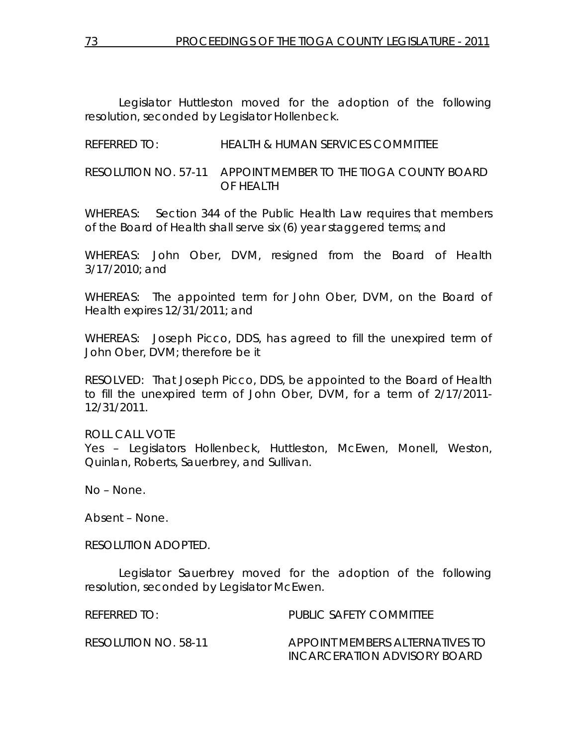Legislator Huttleston moved for the adoption of the following resolution, seconded by Legislator Hollenbeck.

## REFERRED TO: HEALTH & HUMAN SERVICES COMMITTEE

# RESOLUTION NO. 57-11 *APPOINT MEMBER TO THE TIOGA COUNTY BOARD OF HEALTH*

WHEREAS: Section 344 of the Public Health Law requires that members of the Board of Health shall serve six (6) year staggered terms; and

WHEREAS: John Ober, DVM, resigned from the Board of Health 3/17/2010; and

WHEREAS: The appointed term for John Ober, DVM, on the Board of Health expires 12/31/2011; and

WHEREAS: Joseph Picco, DDS, has agreed to fill the unexpired term of John Ober, DVM; therefore be it

RESOLVED: That Joseph Picco, DDS, be appointed to the Board of Health to fill the unexpired term of John Ober, DVM, for a term of 2/17/2011- 12/31/2011.

ROLL CALL VOTE Yes – Legislators Hollenbeck, Huttleston, McEwen, Monell, Weston, Quinlan, Roberts, Sauerbrey, and Sullivan.

No – None.

Absent – None.

## RESOLUTION ADOPTED.

 Legislator Sauerbrey moved for the adoption of the following resolution, seconded by Legislator McEwen.

REFERRED TO: PUBLIC SAFETY COMMITTEE

RESOLUTION NO. 58-11 *APPOINT MEMBERS ALTERNATIVES TO INCARCERATION ADVISORY BOARD*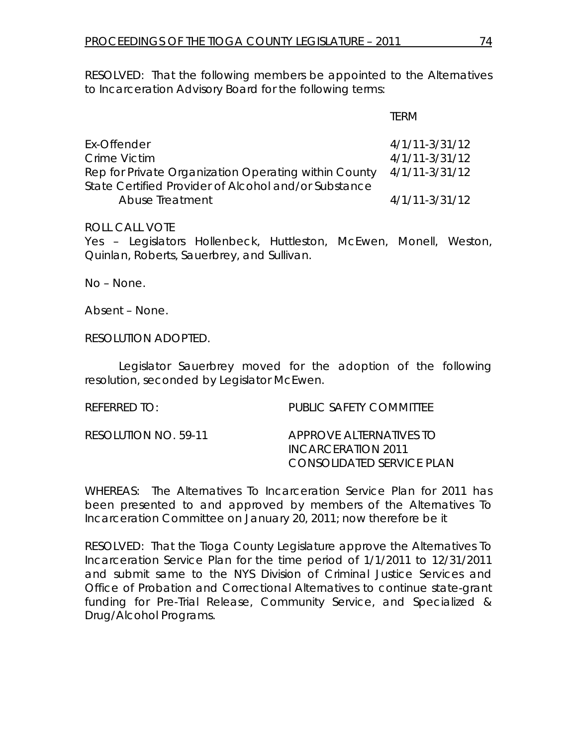RESOLVED: That the following members be appointed to the Alternatives to Incarceration Advisory Board for the following terms:

#### TERM

| Ex-Offender                                          | $4/1/11-3/31/12$   |
|------------------------------------------------------|--------------------|
| Crime Victim                                         | $4/1/11-3/31/12$   |
| Rep for Private Organization Operating within County | 4/1/11-3/31/12     |
| State Certified Provider of Alcohol and/or Substance |                    |
| Abuse Treatment                                      | $4/1/11 - 3/31/12$ |

## ROLL CALL VOTE

Yes – Legislators Hollenbeck, Huttleston, McEwen, Monell, Weston, Quinlan, Roberts, Sauerbrey, and Sullivan.

No – None.

Absent – None.

RESOLUTION ADOPTED.

 Legislator Sauerbrey moved for the adoption of the following resolution, seconded by Legislator McEwen.

## REFERRED TO: PUBLIC SAFETY COMMITTEE

RESOLUTION NO. 59-11 *APPROVE ALTERNATIVES TO INCARCERATION 2011 CONSOLIDATED SERVICE PLAN* 

WHEREAS: The Alternatives To Incarceration Service Plan for 2011 has been presented to and approved by members of the Alternatives To Incarceration Committee on January 20, 2011; now therefore be it

RESOLVED: That the Tioga County Legislature approve the Alternatives To Incarceration Service Plan for the time period of 1/1/2011 to 12/31/2011 and submit same to the NYS Division of Criminal Justice Services and Office of Probation and Correctional Alternatives to continue state-grant funding for Pre-Trial Release, Community Service, and Specialized & Drug/Alcohol Programs.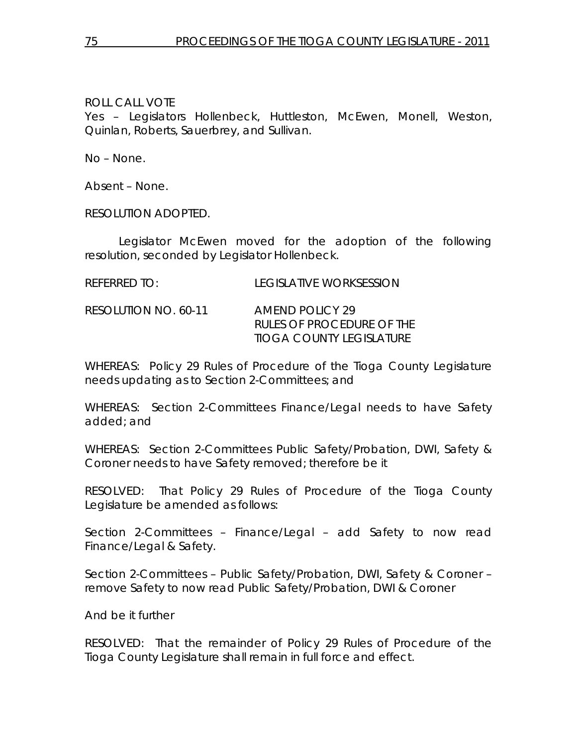Yes – Legislators Hollenbeck, Huttleston, McEwen, Monell, Weston, Quinlan, Roberts, Sauerbrey, and Sullivan.

No – None.

Absent – None.

RESOLUTION ADOPTED.

 Legislator McEwen moved for the adoption of the following resolution, seconded by Legislator Hollenbeck.

| <b>REFERRED TO:</b> | <b>LEGISLATIVE WORKSESSION</b> |
|---------------------|--------------------------------|
|                     |                                |

RESOLUTION NO. 60-11 *AMEND POLICY 29 RULES OF PROCEDURE OF THE TIOGA COUNTY LEGISLATURE* 

WHEREAS: Policy 29 Rules of Procedure of the Tioga County Legislature needs updating as to Section 2-Committees; and

WHEREAS: Section 2-Committees Finance/Legal needs to have Safety added; and

WHEREAS: Section 2-Committees Public Safety/Probation, DWI, Safety & Coroner needs to have Safety removed; therefore be it

RESOLVED: That Policy 29 Rules of Procedure of the Tioga County Legislature be amended as follows:

Section 2-Committees – Finance/Legal – add Safety to now read Finance/Legal & Safety.

Section 2-Committees – Public Safety/Probation, DWI, Safety & Coroner – remove Safety to now read Public Safety/Probation, DWI & Coroner

And be it further

RESOLVED: That the remainder of Policy 29 Rules of Procedure of the Tioga County Legislature shall remain in full force and effect.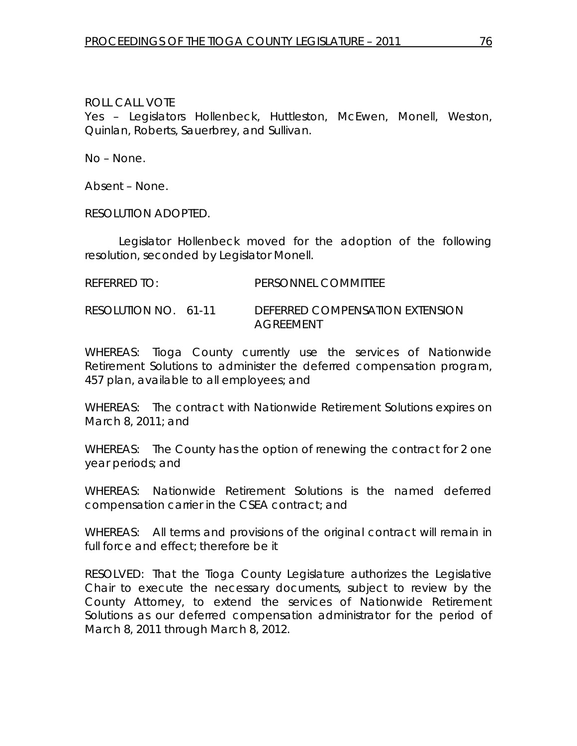Yes – Legislators Hollenbeck, Huttleston, McEwen, Monell, Weston, Quinlan, Roberts, Sauerbrey, and Sullivan.

No – None.

Absent – None.

RESOLUTION ADOPTED.

 Legislator Hollenbeck moved for the adoption of the following resolution, seconded by Legislator Monell.

REFERRED TO: PERSONNEL COMMITTEE

RESOLUTION NO. 61-11 *DEFERRED COMPENSATION EXTENSION AGREEMENT* 

WHEREAS: Tioga County currently use the services of Nationwide Retirement Solutions to administer the deferred compensation program, 457 plan, available to all employees; and

WHEREAS: The contract with Nationwide Retirement Solutions expires on March 8, 2011; and

WHEREAS: The County has the option of renewing the contract for 2 one year periods; and

WHEREAS: Nationwide Retirement Solutions is the named deferred compensation carrier in the CSEA contract; and

WHEREAS: All terms and provisions of the original contract will remain in full force and effect; therefore be it

RESOLVED: That the Tioga County Legislature authorizes the Legislative Chair to execute the necessary documents, subject to review by the County Attorney, to extend the services of Nationwide Retirement Solutions as our deferred compensation administrator for the period of March 8, 2011 through March 8, 2012.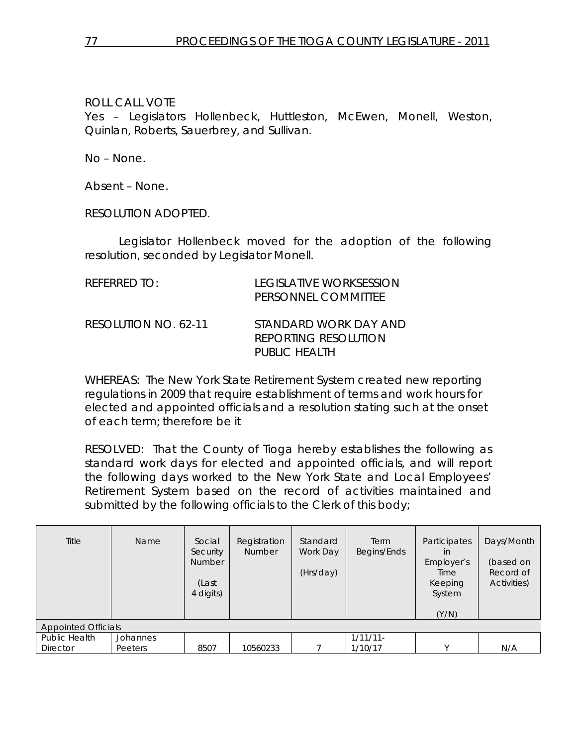Yes – Legislators Hollenbeck, Huttleston, McEwen, Monell, Weston, Quinlan, Roberts, Sauerbrey, and Sullivan.

No – None.

Absent – None.

RESOLUTION ADOPTED.

 Legislator Hollenbeck moved for the adoption of the following resolution, seconded by Legislator Monell.

| REFERRED TO:         | LEGISLATIVE WORKSESSION<br>PERSONNEL COMMITTEE                        |
|----------------------|-----------------------------------------------------------------------|
| RESOLUTION NO. 62-11 | STANDARD WORK DAY AND<br><b>REPORTING RESOLUTION</b><br>PUBLIC HEALTH |

WHEREAS: The New York State Retirement System created new reporting regulations in 2009 that require establishment of terms and work hours for elected and appointed officials and a resolution stating such at the onset of each term; therefore be it

RESOLVED: That the County of Tioga hereby establishes the following as standard work days for elected and appointed officials, and will report the following days worked to the New York State and Local Employees' Retirement System based on the record of activities maintained and submitted by the following officials to the Clerk of this body;

| Title<br><b>Appointed Officials</b> | Name     | Social<br>Security<br><b>Number</b><br>(Last<br>4 digits) | Registration<br><b>Number</b> | Standard<br>Work Day<br>(Hrs/day) | Term<br>Begins/Ends | <b>Participates</b><br>in<br>Employer's<br>Time<br>Keeping<br>System<br>(Y/N) | Days/Month<br>(based on<br>Record of<br>Activities) |
|-------------------------------------|----------|-----------------------------------------------------------|-------------------------------|-----------------------------------|---------------------|-------------------------------------------------------------------------------|-----------------------------------------------------|
| Public Health                       | Johannes |                                                           |                               |                                   | $1/11/11-$          |                                                                               |                                                     |
| <b>Director</b>                     | Peeters  | 8507                                                      | 10560233                      |                                   | 1/10/17             | $\checkmark$                                                                  | N/A                                                 |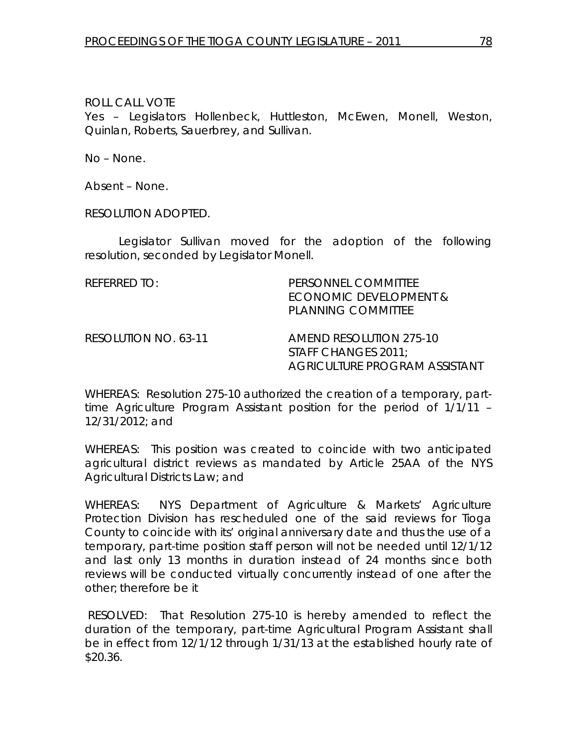Yes – Legislators Hollenbeck, Huttleston, McEwen, Monell, Weston, Quinlan, Roberts, Sauerbrey, and Sullivan.

No – None.

Absent – None.

RESOLUTION ADOPTED.

 Legislator Sullivan moved for the adoption of the following resolution, seconded by Legislator Monell.

| REFERRED TO:         | PERSONNEL COMMITTEE<br>ECONOMIC DEVELOPMENT &<br><b>PLANNING COMMITTEE</b>             |
|----------------------|----------------------------------------------------------------------------------------|
| RESOLUTION NO. 63-11 | AMEND RESOLUTION 275-10<br>STAFF CHANGES 2011;<br><b>AGRICULTURE PROGRAM ASSISTANT</b> |

WHEREAS: Resolution 275-10 authorized the creation of a temporary, parttime Agriculture Program Assistant position for the period of 1/1/11 – 12/31/2012; and

WHEREAS: This position was created to coincide with two anticipated agricultural district reviews as mandated by Article 25AA of the NYS Agricultural Districts Law; and

WHEREAS: NYS Department of Agriculture & Markets' Agriculture Protection Division has rescheduled one of the said reviews for Tioga County to coincide with its' original anniversary date and thus the use of a temporary, part-time position staff person will not be needed until 12/1/12 and last only 13 months in duration instead of 24 months since both reviews will be conducted virtually concurrently instead of one after the other; therefore be it

 RESOLVED: That Resolution 275-10 is hereby amended to reflect the duration of the temporary, part-time Agricultural Program Assistant shall be in effect from 12/1/12 through 1/31/13 at the established hourly rate of \$20.36.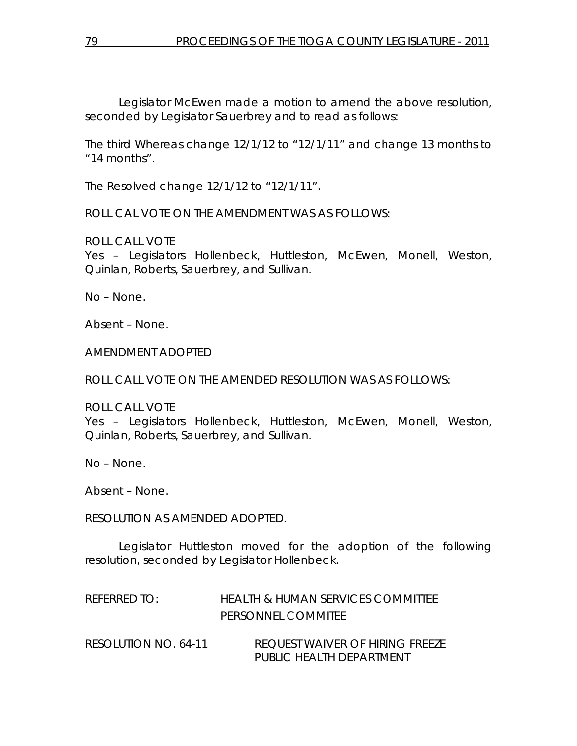Legislator McEwen made a motion to amend the above resolution, seconded by Legislator Sauerbrey and to read as follows:

The third Whereas change 12/1/12 to "12/1/11" and change 13 months to "14 months".

The Resolved change 12/1/12 to "12/1/11".

ROLL CAL VOTE ON THE AMENDMENT WAS AS FOLLOWS:

ROLL CALL VOTE

Yes – Legislators Hollenbeck, Huttleston, McEwen, Monell, Weston, Quinlan, Roberts, Sauerbrey, and Sullivan.

No – None.

Absent – None.

AMENDMENT ADOPTED

ROLL CALL VOTE ON THE AMENDED RESOLUTION WAS AS FOLLOWS:

ROLL CALL VOTE Yes – Legislators Hollenbeck, Huttleston, McEwen, Monell, Weston, Quinlan, Roberts, Sauerbrey, and Sullivan.

No – None.

Absent – None.

RESOLUTION AS AMENDED ADOPTED.

 Legislator Huttleston moved for the adoption of the following resolution, seconded by Legislator Hollenbeck.

| REFERRED TO: | <b>HEALTH &amp; HUMAN SERVICES COMMITTEE</b> |
|--------------|----------------------------------------------|
|              | <b>PERSONNEL COMMITEE</b>                    |

RESOLUTION NO. 64-11 *REQUEST WAIVER OF HIRING FREEZE PUBLIC HEALTH DEPARTMENT*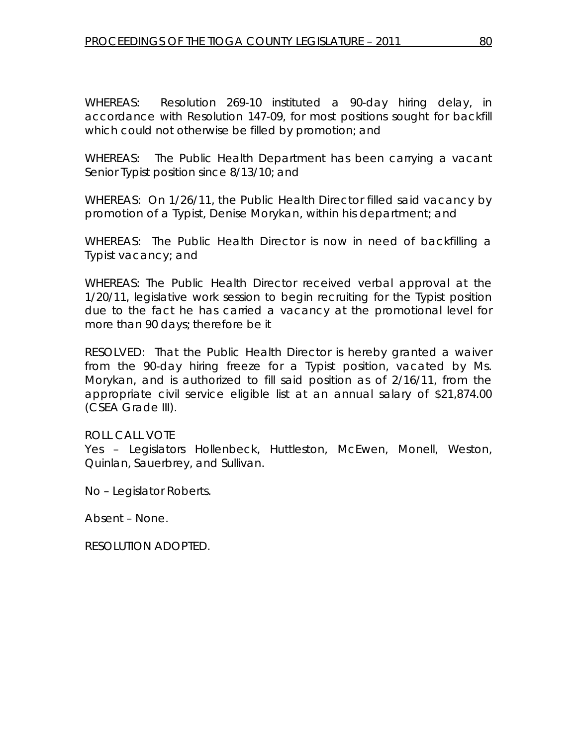WHEREAS: Resolution 269-10 instituted a 90-day hiring delay, in accordance with Resolution 147-09, for most positions sought for backfill which could not otherwise be filled by promotion; and

WHEREAS: The Public Health Department has been carrying a vacant Senior Typist position since 8/13/10; and

WHEREAS: On 1/26/11, the Public Health Director filled said vacancy by promotion of a Typist, Denise Morykan, within his department; and

WHEREAS: The Public Health Director is now in need of backfilling a Typist vacancy; and

WHEREAS: The Public Health Director received verbal approval at the 1/20/11, legislative work session to begin recruiting for the Typist position due to the fact he has carried a vacancy at the promotional level for more than 90 days; therefore be it

RESOLVED: That the Public Health Director is hereby granted a waiver from the 90-day hiring freeze for a Typist position, vacated by Ms. Morykan, and is authorized to fill said position as of 2/16/11, from the appropriate civil service eligible list at an annual salary of \$21,874.00 (CSEA Grade III).

# ROLL CALL VOTE

Yes – Legislators Hollenbeck, Huttleston, McEwen, Monell, Weston, Quinlan, Sauerbrey, and Sullivan.

No – Legislator Roberts.

Absent – None.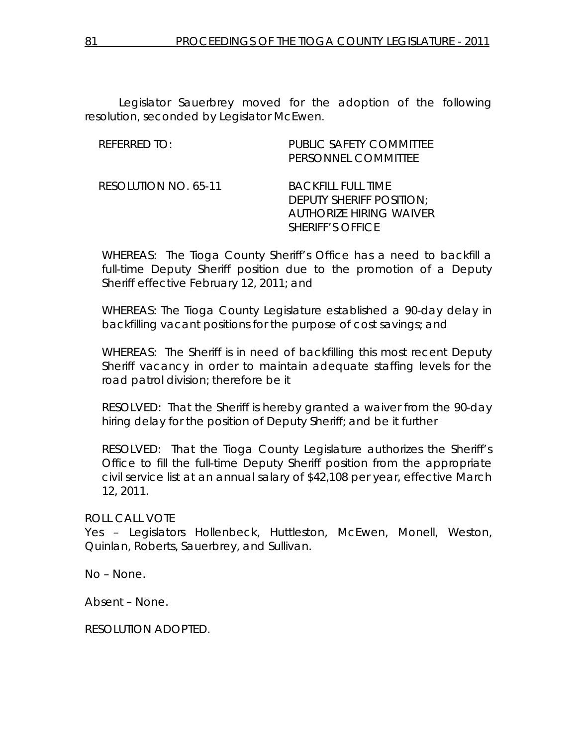Legislator Sauerbrey moved for the adoption of the following resolution, seconded by Legislator McEwen.

| <b>REFERRED TO:</b>  | <b>PUBLIC SAFETY COMMITTEE</b><br>PERSONNEL COMMITTEE                                                       |
|----------------------|-------------------------------------------------------------------------------------------------------------|
| RESOLUTION NO. 65-11 | <i>BACKFILL FULL TIME</i><br>DEPUTY SHERIFF POSITION;<br>AUTHORIZE HIRING WAIVER<br><i>SHERIFF'S OFFICE</i> |

WHEREAS: The Tioga County Sheriff's Office has a need to backfill a full-time Deputy Sheriff position due to the promotion of a Deputy Sheriff effective February 12, 2011; and

WHEREAS: The Tioga County Legislature established a 90-day delay in backfilling vacant positions for the purpose of cost savings; and

WHEREAS: The Sheriff is in need of backfilling this most recent Deputy Sheriff vacancy in order to maintain adequate staffing levels for the road patrol division; therefore be it

RESOLVED: That the Sheriff is hereby granted a waiver from the 90-day hiring delay for the position of Deputy Sheriff; and be it further

RESOLVED: That the Tioga County Legislature authorizes the Sheriff's Office to fill the full-time Deputy Sheriff position from the appropriate civil service list at an annual salary of \$42,108 per year, effective March 12, 2011.

ROLL CALL VOTE

Yes – Legislators Hollenbeck, Huttleston, McEwen, Monell, Weston, Quinlan, Roberts, Sauerbrey, and Sullivan.

No – None.

Absent – None.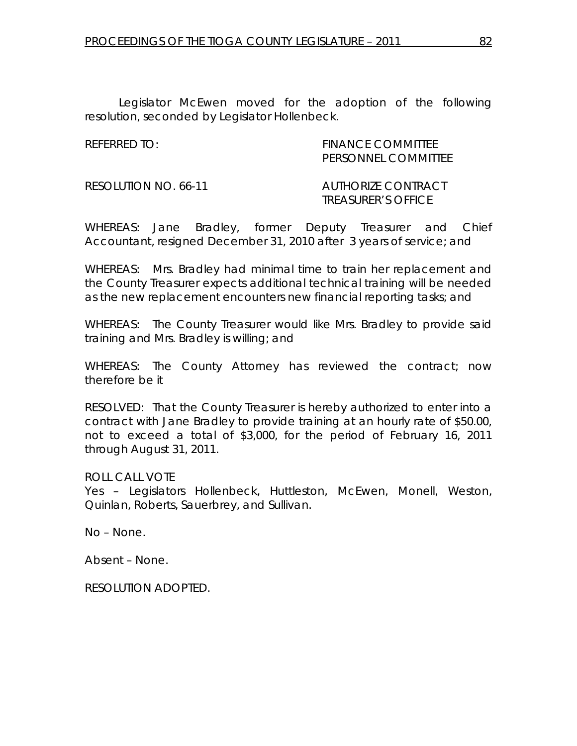Legislator McEwen moved for the adoption of the following resolution, seconded by Legislator Hollenbeck.

REFERRED TO: The Second Second Second Second Second Second Second Second Second Second Second Second Second Se PERSONNEL COMMITTEE

RESOLUTION NO. 66-11 *AUTHORIZE CONTRACT* 

 *TREASURER'S OFFICE* 

WHEREAS: Jane Bradley, former Deputy Treasurer and Chief Accountant, resigned December 31, 2010 after 3 years of service; and

WHEREAS: Mrs. Bradley had minimal time to train her replacement and the County Treasurer expects additional technical training will be needed as the new replacement encounters new financial reporting tasks; and

WHEREAS: The County Treasurer would like Mrs. Bradley to provide said training and Mrs. Bradley is willing; and

WHEREAS: The County Attorney has reviewed the contract; now therefore be it

RESOLVED: That the County Treasurer is hereby authorized to enter into a contract with Jane Bradley to provide training at an hourly rate of \$50.00, not to exceed a total of \$3,000, for the period of February 16, 2011 through August 31, 2011.

ROLL CALL VOTE

Yes – Legislators Hollenbeck, Huttleston, McEwen, Monell, Weston, Quinlan, Roberts, Sauerbrey, and Sullivan.

No – None.

Absent – None.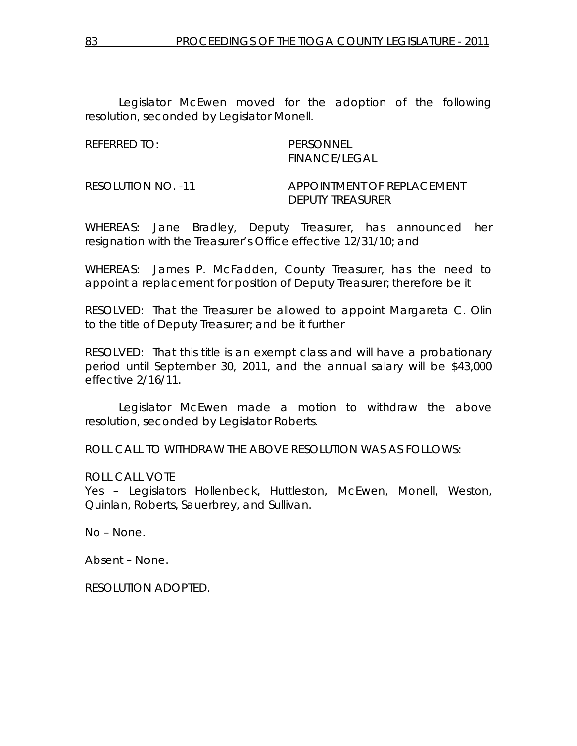Legislator McEwen moved for the adoption of the following resolution, seconded by Legislator Monell.

REFERRED TO: PERSONNEL

FINANCE/LEGAL

RESOLUTION NO. -11 APPOINTMENT OF REPLACEMENT DEPUTY TREASURER

WHEREAS: Jane Bradley, Deputy Treasurer, has announced her resignation with the Treasurer's Office effective 12/31/10; and

WHEREAS: James P. McFadden, County Treasurer, has the need to appoint a replacement for position of Deputy Treasurer; therefore be it

RESOLVED: That the Treasurer be allowed to appoint Margareta C. Olin to the title of Deputy Treasurer; and be it further

RESOLVED: That this title is an exempt class and will have a probationary period until September 30, 2011, and the annual salary will be \$43,000 effective 2/16/11.

 Legislator McEwen made a motion to withdraw the above resolution, seconded by Legislator Roberts.

ROLL CALL TO WITHDRAW THE ABOVE RESOLUTION WAS AS FOLLOWS:

ROLL CALL VOTE

Yes – Legislators Hollenbeck, Huttleston, McEwen, Monell, Weston, Quinlan, Roberts, Sauerbrey, and Sullivan.

No – None.

Absent – None.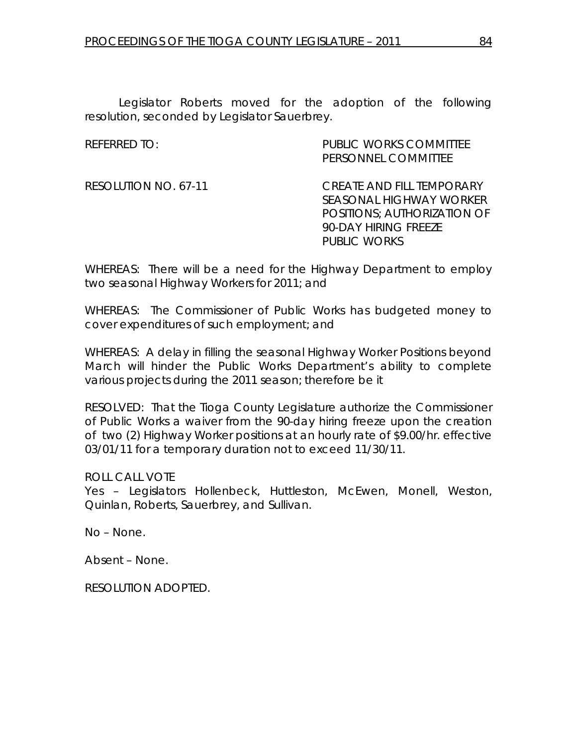Legislator Roberts moved for the adoption of the following resolution, seconded by Legislator Sauerbrey.

| REFERRED TO:         | <b>PUBLIC WORKS COMMITTEE</b>    |
|----------------------|----------------------------------|
|                      | PERSONNEL COMMITTEE              |
| RESOLUTION NO. 67-11 | <i>CREATE AND FILL TEMPORARY</i> |
|                      | <i>SEASONAL HIGHWAY WORKER</i>   |
|                      | POSITIONS; AUTHORIZATION OF      |
|                      | <i>90-DAY HIRING FREEZE</i>      |
|                      | PUBLIC WORKS                     |
|                      |                                  |

WHEREAS: There will be a need for the Highway Department to employ two seasonal Highway Workers for 2011; and

WHEREAS: The Commissioner of Public Works has budgeted money to cover expenditures of such employment; and

WHEREAS: A delay in filling the seasonal Highway Worker Positions beyond March will hinder the Public Works Department's ability to complete various projects during the 2011 season; therefore be it

RESOLVED: That the Tioga County Legislature authorize the Commissioner of Public Works a waiver from the 90-day hiring freeze upon the creation of two (2) Highway Worker positions at an hourly rate of \$9.00/hr. effective 03/01/11 for a temporary duration not to exceed 11/30/11.

ROLL CALL VOTE

Yes – Legislators Hollenbeck, Huttleston, McEwen, Monell, Weston, Quinlan, Roberts, Sauerbrey, and Sullivan.

No – None.

Absent – None.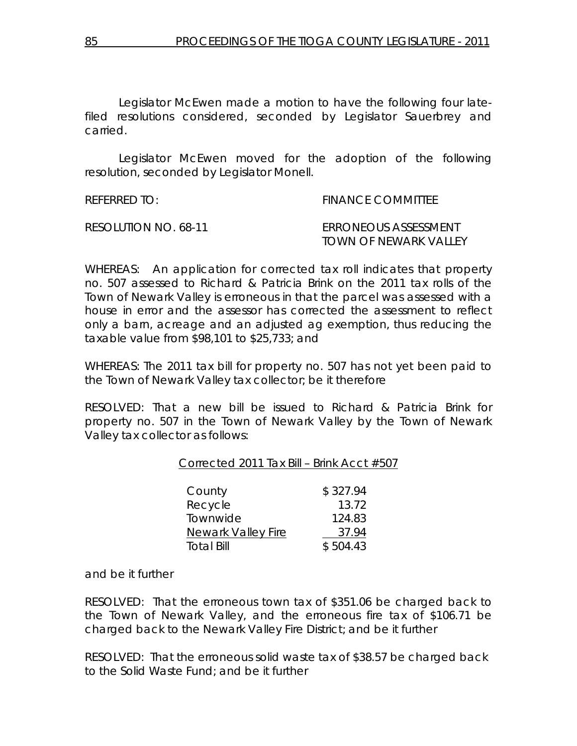Legislator McEwen made a motion to have the following four latefiled resolutions considered, seconded by Legislator Sauerbrey and carried.

 Legislator McEwen moved for the adoption of the following resolution, seconded by Legislator Monell.

| REFERRED TO:         | <b>FINANCE COMMITTEE</b>                             |
|----------------------|------------------------------------------------------|
| RESOLUTION NO. 68-11 | <i>ERRONEOUS ASSESSMENT</i><br>TOWN OF NEWARK VALLEY |

WHEREAS: An application for corrected tax roll indicates that property no. 507 assessed to Richard & Patricia Brink on the 2011 tax rolls of the Town of Newark Valley is erroneous in that the parcel was assessed with a house in error and the assessor has corrected the assessment to reflect only a barn, acreage and an adjusted ag exemption, thus reducing the taxable value from \$98,101 to \$25,733; and

WHEREAS: The 2011 tax bill for property no. 507 has not yet been paid to the Town of Newark Valley tax collector; be it therefore

RESOLVED: That a new bill be issued to Richard & Patricia Brink for property no. 507 in the Town of Newark Valley by the Town of Newark Valley tax collector as follows:

## Corrected 2011 Tax Bill – Brink Acct #507

| County                    | \$327.94 |
|---------------------------|----------|
| Recycle                   | 13.72    |
| Townwide                  | 124.83   |
| <b>Newark Valley Fire</b> | 37.94    |
| <b>Total Bill</b>         | \$504.43 |

and be it further

RESOLVED: That the erroneous town tax of \$351.06 be charged back to the Town of Newark Valley, and the erroneous fire tax of \$106.71 be charged back to the Newark Valley Fire District; and be it further

RESOLVED: That the erroneous solid waste tax of \$38.57 be charged back to the Solid Waste Fund; and be it further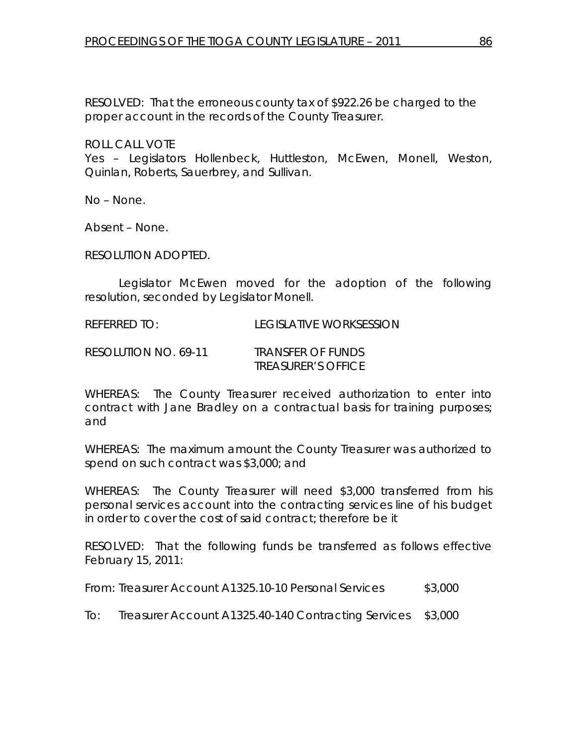RESOLVED: That the erroneous county tax of \$922.26 be charged to the proper account in the records of the County Treasurer.

ROLL CALL VOTE

Yes – Legislators Hollenbeck, Huttleston, McEwen, Monell, Weston, Quinlan, Roberts, Sauerbrey, and Sullivan.

No – None.

Absent – None.

RESOLUTION ADOPTED.

 Legislator McEwen moved for the adoption of the following resolution, seconded by Legislator Monell.

REFERRED TO: LEGISLATIVE WORKSESSION

RESOLUTION NO. 69-11 *TRANSFER OF FUNDS TREASURER'S OFFICE* 

WHEREAS: The County Treasurer received authorization to enter into contract with Jane Bradley on a contractual basis for training purposes; and

WHEREAS: The maximum amount the County Treasurer was authorized to spend on such contract was \$3,000; and

WHEREAS: The County Treasurer will need \$3,000 transferred from his personal services account into the contracting services line of his budget in order to cover the cost of said contract; therefore be it

RESOLVED: That the following funds be transferred as follows effective February 15, 2011:

From: Treasurer Account A1325.10-10 Personal Services \$3,000

To: Treasurer Account A1325.40-140 Contracting Services \$3,000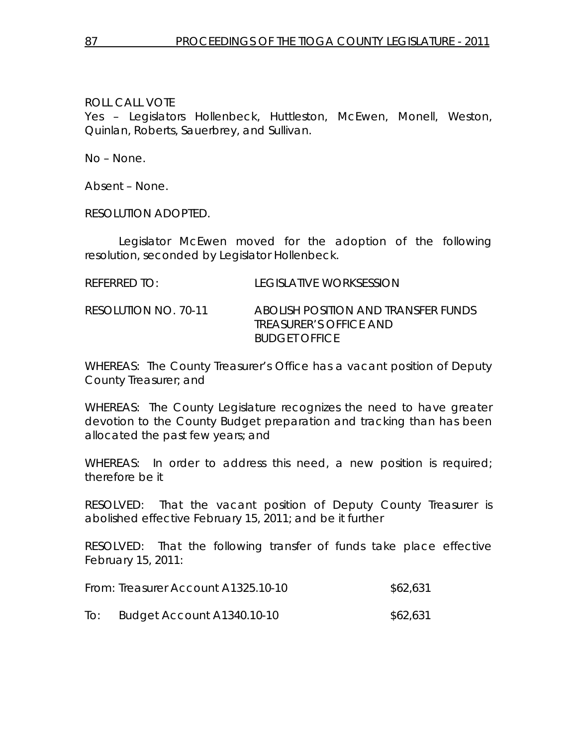Yes – Legislators Hollenbeck, Huttleston, McEwen, Monell, Weston, Quinlan, Roberts, Sauerbrey, and Sullivan.

No – None.

Absent – None.

RESOLUTION ADOPTED.

 Legislator McEwen moved for the adoption of the following resolution, seconded by Legislator Hollenbeck.

| <b>REFERRED TO:</b> | <b>LEGISLATIVE WORKSESSION</b> |
|---------------------|--------------------------------|
|                     |                                |

RESOLUTION NO. 70-11 *ABOLISH POSITION AND TRANSFER FUNDS TREASURER'S OFFICE AND BUDGET OFFICE* 

WHEREAS: The County Treasurer's Office has a vacant position of Deputy County Treasurer; and

WHEREAS: The County Legislature recognizes the need to have greater devotion to the County Budget preparation and tracking than has been allocated the past few years; and

WHEREAS: In order to address this need, a new position is required; therefore be it

RESOLVED: That the vacant position of Deputy County Treasurer is abolished effective February 15, 2011; and be it further

RESOLVED: That the following transfer of funds take place effective February 15, 2011:

|     | From: Treasurer Account A1325.10-10 | \$62,631 |
|-----|-------------------------------------|----------|
| IO: | Budget Account A1340.10-10          | \$62,631 |